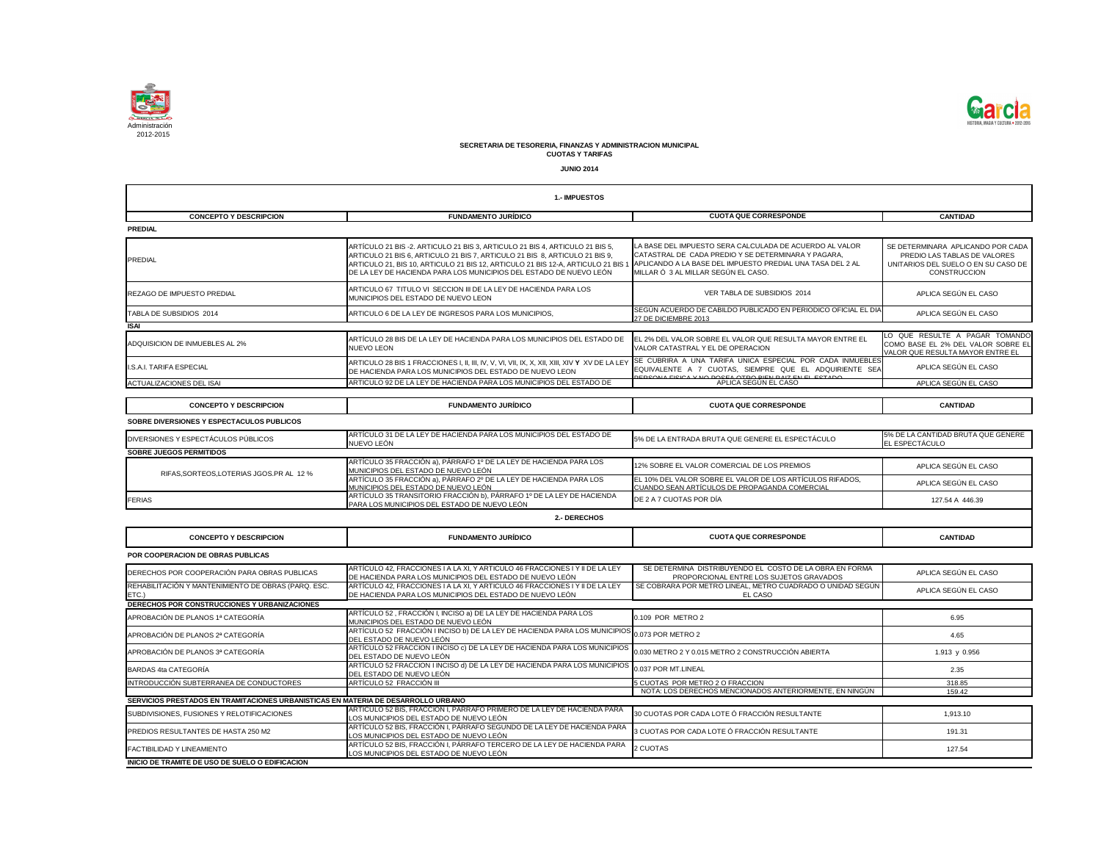

|                                                                                   | 1.- IMPUESTOS                                                                                                                                                                                                                                                                                                         |                                                                                                                                                                                                                     |                                                                                                                                 |
|-----------------------------------------------------------------------------------|-----------------------------------------------------------------------------------------------------------------------------------------------------------------------------------------------------------------------------------------------------------------------------------------------------------------------|---------------------------------------------------------------------------------------------------------------------------------------------------------------------------------------------------------------------|---------------------------------------------------------------------------------------------------------------------------------|
| <b>CONCEPTO Y DESCRIPCION</b>                                                     | <b>FUNDAMENTO JURÍDICO</b>                                                                                                                                                                                                                                                                                            | <b>CUOTA QUE CORRESPONDE</b>                                                                                                                                                                                        | <b>CANTIDAD</b>                                                                                                                 |
| <b>PREDIAL</b>                                                                    |                                                                                                                                                                                                                                                                                                                       |                                                                                                                                                                                                                     |                                                                                                                                 |
| <b>PREDIAL</b>                                                                    | ARTÍCULO 21 BIS -2. ARTICULO 21 BIS 3, ARTICULO 21 BIS 4, ARTICULO 21 BIS 5,<br>ARTICULO 21 BIS 6, ARTICULO 21 BIS 7, ARTICULO 21 BIS 8, ARTICULO 21 BIS 9,<br>ARTICULO 21, BIS 10, ARTICULO 21 BIS 12, ARTICULO 21 BIS 12-A, ARTICULO 21 BIS 1<br>DE LA LEY DE HACIENDA PARA LOS MUNICIPIOS DEL ESTADO DE NUEVO LEÓN | LA BASE DEL IMPUESTO SERA CALCULADA DE ACUERDO AL VALOR<br>CATASTRAL DE CADA PREDIO Y SE DETERMINARA Y PAGARA,<br>APLICANDO A LA BASE DEL IMPUESTO PREDIAL UNA TASA DEL 2 AL<br>MILLAR Ó 3 AL MILLAR SEGÚN EL CASO. | SE DETERMINARA APLICANDO POR CADA<br>PREDIO LAS TABLAS DE VALORES<br>UNITARIOS DEL SUELO O EN SU CASO DE<br><b>CONSTRUCCION</b> |
| <b>REZAGO DE IMPUESTO PREDIAL</b>                                                 | ARTICULO 67 TITULO VI SECCION III DE LA LEY DE HACIENDA PARA LOS<br>MUNICIPIOS DEL ESTADO DE NUEVO LEON                                                                                                                                                                                                               | VER TABLA DE SUBSIDIOS 2014                                                                                                                                                                                         | APLICA SEGÚN EL CASO                                                                                                            |
| TABLA DE SUBSIDIOS 2014                                                           | ARTICULO 6 DE LA LEY DE INGRESOS PARA LOS MUNICIPIOS,                                                                                                                                                                                                                                                                 | SEGÚN ACUERDO DE CABILDO PUBLICADO EN PERIODICO OFICIAL EL DIA<br>27 DE DICIEMBRE 2013                                                                                                                              | APLICA SEGÚN EL CASO                                                                                                            |
| <b>ISAI</b>                                                                       |                                                                                                                                                                                                                                                                                                                       |                                                                                                                                                                                                                     |                                                                                                                                 |
| ADQUISICION DE INMUEBLES AL 2%                                                    | ARTÍCULO 28 BIS DE LA LEY DE HACIENDA PARA LOS MUNICIPIOS DEL ESTADO DE<br><b>NUEVO LEON</b>                                                                                                                                                                                                                          | EL 2% DEL VALOR SOBRE EL VALOR QUE RESULTA MAYOR ENTRE EL<br>VALOR CATASTRAL Y EL DE OPERACION                                                                                                                      | LO QUE RESULTE A PAGAR TOMANDO<br>COMO BASE EL 2% DEL VALOR SOBRE EL<br>VALOR QUE RESULTA MAYOR ENTRE EI                        |
| I.S.A.I. TARIFA ESPECIAL                                                          | DE HACIENDA PARA LOS MUNICIPIOS DEL ESTADO DE NUEVO LEON                                                                                                                                                                                                                                                              | SE CUBRIRA A UNA TARIFA UNICA ESPECIAL POR CADA INMUEBLES<br>EQUIVALENTE A 7 CUOTAS, SIEMPRE QUE EL ADQUIRIENTE SEA<br><u>VNA DACEA ATDA DIEN DAIZ EN EL ECTAD</u>                                                  | APLICA SEGÚN EL CASO                                                                                                            |
| ACTUALIZACIONES DEL ISAI                                                          | ARTICULO 92 DE LA LEY DE HACIENDA PARA LOS MUNICIPIOS DEL ESTADO DE                                                                                                                                                                                                                                                   | APLICA SEGÚN EL CASO                                                                                                                                                                                                | APLICA SEGÚN EL CASO                                                                                                            |
| <b>CONCEPTO Y DESCRIPCION</b>                                                     | <b>FUNDAMENTO JURÍDICO</b>                                                                                                                                                                                                                                                                                            | <b>CUOTA QUE CORRESPONDE</b>                                                                                                                                                                                        | <b>CANTIDAD</b>                                                                                                                 |
| SOBRE DIVERSIONES Y ESPECTACULOS PUBLICOS                                         |                                                                                                                                                                                                                                                                                                                       |                                                                                                                                                                                                                     |                                                                                                                                 |
| DIVERSIONES Y ESPECTÁCULOS PÚBLICOS                                               | ARTÍCULO 31 DE LA LEY DE HACIENDA PARA LOS MUNICIPIOS DEL ESTADO DE                                                                                                                                                                                                                                                   | 5% DE LA ENTRADA BRUTA QUE GENERE EL ESPECTÁCULO                                                                                                                                                                    | 5% DE LA CANTIDAD BRUTA QUE GENERE                                                                                              |
| <b>SOBRE JUEGOS PERMITIDOS</b>                                                    | NUEVO LEÓN                                                                                                                                                                                                                                                                                                            |                                                                                                                                                                                                                     | EL ESPECTÁCULO                                                                                                                  |
|                                                                                   | ARTÍCULO 35 FRACCIÓN a), PÁRRAFO 1º DE LA LEY DE HACIENDA PARA LOS                                                                                                                                                                                                                                                    |                                                                                                                                                                                                                     |                                                                                                                                 |
| RIFAS, SORTEOS, LOTERIAS JGOS.PR AL 12 %                                          | MUNICIPIOS DEL ESTADO DE NUEVO LEÓN                                                                                                                                                                                                                                                                                   | 12% SOBRE EL VALOR COMERCIAL DE LOS PREMIOS                                                                                                                                                                         | APLICA SEGÚN EL CASO                                                                                                            |
|                                                                                   | ARTÍCULO 35 FRACCIÓN a), PÁRRAFO 2º DE LA LEY DE HACIENDA PARA LOS<br><u>MUNICIPIOS DEL ESTADO DE NUEVO LEÓN</u>                                                                                                                                                                                                      | EL 10% DEL VALOR SOBRE EL VALOR DE LOS ARTÍCULOS RIFADOS,<br>CUANDO SEAN ARTÍCULOS DE PROPAGANDA COMERCIAL                                                                                                          | APLICA SEGÚN EL CASO                                                                                                            |
| <b>FERIAS</b>                                                                     | ARTÍCULO 35 TRANSITORIO FRACCIÓN b), PÁRRAFO 1º DE LA LEY DE HACIENDA<br>PARA LOS MUNICIPIOS DEL ESTADO DE NUEVO LEÓN                                                                                                                                                                                                 | DE 2 A 7 CUOTAS POR DÍA                                                                                                                                                                                             | 127.54 A 446.39                                                                                                                 |
|                                                                                   | 2.- DERECHOS                                                                                                                                                                                                                                                                                                          |                                                                                                                                                                                                                     |                                                                                                                                 |
| <b>CONCEPTO Y DESCRIPCION</b>                                                     | <b>FUNDAMENTO JURÍDICO</b>                                                                                                                                                                                                                                                                                            | <b>CUOTA QUE CORRESPONDE</b>                                                                                                                                                                                        | <b>CANTIDAD</b>                                                                                                                 |
| POR COOPERACION DE OBRAS PUBLICAS                                                 |                                                                                                                                                                                                                                                                                                                       |                                                                                                                                                                                                                     |                                                                                                                                 |
| DERECHOS POR COOPERACIÓN PARA OBRAS PUBLICAS                                      | ARTÍCULO 42, FRACCIONES I A LA XI, Y ARTICULO 46 FRACCIONES I Y II DE LA LEY<br>DE HACIENDA PARA LOS MUNICIPIOS DEL ESTADO DE NUEVO LEÓN                                                                                                                                                                              | SE DETERMINA DISTRIBUYENDO EL COSTO DE LA OBRA EN FORMA<br>PROPORCIONAL ENTRE LOS SUJETOS GRAVADOS                                                                                                                  | APLICA SEGÚN EL CASO                                                                                                            |
| REHABILITACIÓN Y MANTENIMIENTO DE OBRAS (PARQ. ESC.<br>ETC.)                      | ARTÍCULO 42, FRACCIONES I A LA XI, Y ARTICULO 46 FRACCIONES I Y II DE LA LEY<br>DE HACIENDA PARA LOS MUNICIPIOS DEL ESTADO DE NUEVO LEÓN                                                                                                                                                                              | SE COBRARA POR METRO LINEAL, METRO CUADRADO O UNIDAD SEGÚN<br>EL CASO                                                                                                                                               | APLICA SEGÚN EL CASO                                                                                                            |
| DERECHOS POR CONSTRUCCIONES Y URBANIZACIONES                                      |                                                                                                                                                                                                                                                                                                                       |                                                                                                                                                                                                                     |                                                                                                                                 |
| APROBACIÓN DE PLANOS 1ª CATEGORÍA                                                 | ARTÍCULO 52, FRACCIÓN I, INCISO a) DE LA LEY DE HACIENDA PARA LOS<br>MUNICIPIOS DEL ESTADO DE NUEVO LEÓN                                                                                                                                                                                                              | 0.109 POR METRO 2                                                                                                                                                                                                   | 6.95                                                                                                                            |
| APROBACIÓN DE PLANOS 2ª CATEGORÍA                                                 | ARTÍCULO 52 FRACCIÓN I INCISO b) DE LA LEY DE HACIENDA PARA LOS MUNICIPIOS 0.073 POR METRO 2<br>DEL ESTADO DE NUEVO LEÓN                                                                                                                                                                                              |                                                                                                                                                                                                                     | 4.65                                                                                                                            |
| APROBACIÓN DE PLANOS 3ª CATEGORÍA                                                 | ARTÍCULO 52 FRACCION I INCISO c) DE LA LEY DE HACIENDA PARA LOS MUNICIPIOS<br>DEL ESTADO DE NUEVO LEÓN                                                                                                                                                                                                                | 0.030 METRO 2 Y 0.015 METRO 2 CONSTRUCCIÓN ABIERTA                                                                                                                                                                  | 1.913 y 0.956                                                                                                                   |
| BARDAS 4ta CATEGORÍA                                                              | ARTÍCULO 52 FRACCION I INCISO d) DE LA LEY DE HACIENDA PARA LOS MUNICIPIOS<br>DEL ESTADO DE NUEVO LEÓN                                                                                                                                                                                                                | 0.037 POR MT.LINEAL                                                                                                                                                                                                 | 2.35                                                                                                                            |
| INTRODUCCIÓN SUBTERRANEA DE CONDUCTORES                                           | ARTÍCULO 52 FRACCIÓN III                                                                                                                                                                                                                                                                                              | 5 CUOTAS POR METRO 2 O FRACCION                                                                                                                                                                                     | 318.85                                                                                                                          |
|                                                                                   |                                                                                                                                                                                                                                                                                                                       | NOTA: LOS DERECHOS MENCIONADOS ANTERIORMENTE, EN NINGÚN                                                                                                                                                             | 159.42                                                                                                                          |
| SERVICIOS PRESTADOS EN TRAMITACIONES URBANISTICAS EN MATERIA DE DESARROLLO URBANO | ARTÍCULO 52 BIS, FRACCIÓN I, PÁRRAFO PRIMERO DE LA LEY DE HACIENDA PARA                                                                                                                                                                                                                                               |                                                                                                                                                                                                                     |                                                                                                                                 |
| SUBDIVISIONES, FUSIONES Y RELOTIFICACIONES                                        | LOS MUNICIPIOS DEL ESTADO DE NUEVO LEÓN<br>ARTÍCULO 52 BIS, FRACCIÓN I, PÁRRAFO SEGUNDO DE LA LEY DE HACIENDA PARA                                                                                                                                                                                                    | 30 CUOTAS POR CADA LOTE Ó FRACCIÓN RESULTANTE                                                                                                                                                                       | 1,913.10                                                                                                                        |
| PREDIOS RESULTANTES DE HASTA 250 M2                                               | LOS MUNICIPIOS DEL ESTADO DE NUEVO LEÓN                                                                                                                                                                                                                                                                               | 3 CUOTAS POR CADA LOTE Ó FRACCIÓN RESULTANTE                                                                                                                                                                        | 191.31                                                                                                                          |
| <b>FACTIBILIDAD Y LINEAMIENTO</b>                                                 | ARTÍCULO 52 BIS, FRACCIÓN I, PÁRRAFO TERCERO DE LA LEY DE HACIENDA PARA<br>LOS MUNICIPIOS DEL ESTADO DE NUEVO LEÓN                                                                                                                                                                                                    | 2 CUOTAS                                                                                                                                                                                                            | 127.54                                                                                                                          |
| INICIO DE TRAMITE DE USO DE SUELO O EDIFICACION                                   |                                                                                                                                                                                                                                                                                                                       |                                                                                                                                                                                                                     |                                                                                                                                 |

| 1.- IMPUESTOS                                                                     |                                                                                                                                                                                                                                                                                                                                                                                  |                                                                                                                                                       |                                                                                                                                 |
|-----------------------------------------------------------------------------------|----------------------------------------------------------------------------------------------------------------------------------------------------------------------------------------------------------------------------------------------------------------------------------------------------------------------------------------------------------------------------------|-------------------------------------------------------------------------------------------------------------------------------------------------------|---------------------------------------------------------------------------------------------------------------------------------|
| <b>CONCEPTO Y DESCRIPCION</b>                                                     | <b>FUNDAMENTO JURÍDICO</b>                                                                                                                                                                                                                                                                                                                                                       | <b>CUOTA QUE CORRESPONDE</b>                                                                                                                          | <b>CANTIDAD</b>                                                                                                                 |
| <b>PREDIAL</b>                                                                    |                                                                                                                                                                                                                                                                                                                                                                                  |                                                                                                                                                       |                                                                                                                                 |
| <b>PREDIAL</b>                                                                    | ARTÍCULO 21 BIS -2. ARTICULO 21 BIS 3, ARTICULO 21 BIS 4, ARTICULO 21 BIS 5,<br>ARTICULO 21 BIS 6, ARTICULO 21 BIS 7, ARTICULO 21 BIS 8, ARTICULO 21 BIS 9,<br>ARTICULO 21, BIS 10, ARTICULO 21 BIS 12, ARTICULO 21 BIS 12-A, ARTICULO 21 BIS 1 APLICANDO A LA BASE DEL IMPUESTO PREDIAL UNA TASA DEL 2 AL<br>DE LA LEY DE HACIENDA PARA LOS MUNICIPIOS DEL ESTADO DE NUEVO LEÓN | LA BASE DEL IMPUESTO SERA CALCULADA DE ACUERDO AL VALOR<br>CATASTRAL DE CADA PREDIO Y SE DETERMINARA Y PAGARA,<br>MILLAR Ó 3 AL MILLAR SEGÚN EL CASO. | SE DETERMINARA APLICANDO POR CADA<br>PREDIO LAS TABLAS DE VALORES<br>UNITARIOS DEL SUELO O EN SU CASO DE<br><b>CONSTRUCCION</b> |
| <b>REZAGO DE IMPUESTO PREDIAL</b>                                                 | ARTICULO 67 TITULO VI SECCION III DE LA LEY DE HACIENDA PARA LOS<br>MUNICIPIOS DEL ESTADO DE NUEVO LEON                                                                                                                                                                                                                                                                          | VER TABLA DE SUBSIDIOS 2014                                                                                                                           | APLICA SEGÚN EL CASO                                                                                                            |
| TABLA DE SUBSIDIOS 2014                                                           | ARTICULO 6 DE LA LEY DE INGRESOS PARA LOS MUNICIPIOS,                                                                                                                                                                                                                                                                                                                            | SEGÚN ACUERDO DE CABILDO PUBLICADO EN PERIODICO OFICIAL EL DIA                                                                                        | APLICA SEGÚN EL CASO                                                                                                            |
| <b>ISAI</b>                                                                       |                                                                                                                                                                                                                                                                                                                                                                                  | 27 DE DICIEMBRE 2013                                                                                                                                  |                                                                                                                                 |
| ADQUISICION DE INMUEBLES AL 2%                                                    | ARTÍCULO 28 BIS DE LA LEY DE HACIENDA PARA LOS MUNICIPIOS DEL ESTADO DE<br><b>NUEVO LEON</b>                                                                                                                                                                                                                                                                                     | EL 2% DEL VALOR SOBRE EL VALOR QUE RESULTA MAYOR ENTRE EL<br>VALOR CATASTRAL Y EL DE OPERACION                                                        | LO QUE RESULTE A PAGAR TOMANDO<br>COMO BASE EL 2% DEL VALOR SOBRE EL<br>VALOR QUE RESULTA MAYOR ENTRE EL                        |
| I.S.A.I. TARIFA ESPECIAL                                                          | DE HACIENDA PARA LOS MUNICIPIOS DEL ESTADO DE NUEVO LEON                                                                                                                                                                                                                                                                                                                         | SE CUBRIRA A UNA TARIFA UNICA ESPECIAL POR CADA INMUEBLES<br>EQUIVALENTE A 7 CUOTAS, SIEMPRE QUE EL ADQUIRIENTE SEA                                   | APLICA SEGÚN EL CASO                                                                                                            |
| <b>ACTUALIZACIONES DEL ISAI</b>                                                   | ARTICULO 92 DE LA LEY DE HACIENDA PARA LOS MUNICIPIOS DEL ESTADO DE                                                                                                                                                                                                                                                                                                              | PERSONAL FIGICALY NO POCEA OTRO PIEN BAIZ EN EL FOTADO                                                                                                | APLICA SEGÚN EL CASO                                                                                                            |
| <b>CONCEPTO Y DESCRIPCION</b>                                                     | <b>FUNDAMENTO JURÍDICO</b>                                                                                                                                                                                                                                                                                                                                                       | <b>CUOTA QUE CORRESPONDE</b>                                                                                                                          | <b>CANTIDAD</b>                                                                                                                 |
| SOBRE DIVERSIONES Y ESPECTACULOS PUBLICOS                                         |                                                                                                                                                                                                                                                                                                                                                                                  |                                                                                                                                                       |                                                                                                                                 |
| DIVERSIONES Y ESPECTÁCULOS PÚBLICOS                                               | ARTÍCULO 31 DE LA LEY DE HACIENDA PARA LOS MUNICIPIOS DEL ESTADO DE<br>NUEVO LEÓN                                                                                                                                                                                                                                                                                                | 5% DE LA ENTRADA BRUTA QUE GENERE EL ESPECTÁCULO                                                                                                      | 5% DE LA CANTIDAD BRUTA QUE GENERE<br>EL ESPECTÁCULO                                                                            |
| <b>SOBRE JUEGOS PERMITIDOS</b>                                                    |                                                                                                                                                                                                                                                                                                                                                                                  |                                                                                                                                                       |                                                                                                                                 |
| RIFAS, SORTEOS, LOTERIAS JGOS.PR AL 12 %                                          | ARTÍCULO 35 FRACCIÓN a), PÁRRAFO 1º DE LA LEY DE HACIENDA PARA LOS<br>MUNICIPIOS DEL ESTADO DE NUEVO LEÓN                                                                                                                                                                                                                                                                        | 12% SOBRE EL VALOR COMERCIAL DE LOS PREMIOS                                                                                                           | APLICA SEGÚN EL CASO                                                                                                            |
|                                                                                   | ARTÍCULO 35 FRACCIÓN a), PÁRRAFO 2º DE LA LEY DE HACIENDA PARA LOS<br>MUNICIPIOS DEL ESTADO DE NUEVO LEÓN                                                                                                                                                                                                                                                                        | EL 10% DEL VALOR SOBRE EL VALOR DE LOS ARTÍCULOS RIFADOS,<br>CUANDO SEAN ARTÍCULOS DE PROPAGANDA COMERCIAL                                            | APLICA SEGÚN EL CASO                                                                                                            |
| <b>FERIAS</b>                                                                     | ARTÍCULO 35 TRANSITORIO FRACCIÓN b), PÁRRAFO 1º DE LA LEY DE HACIENDA<br>PARA LOS MUNICIPIOS DEL ESTADO DE NUEVO LEÓN                                                                                                                                                                                                                                                            | DE 2 A 7 CUOTAS POR DÍA                                                                                                                               | 127.54 A 446.39                                                                                                                 |
|                                                                                   | 2.- DERECHOS                                                                                                                                                                                                                                                                                                                                                                     |                                                                                                                                                       |                                                                                                                                 |
| <b>CONCEPTO Y DESCRIPCION</b>                                                     | <b>FUNDAMENTO JURÍDICO</b>                                                                                                                                                                                                                                                                                                                                                       | <b>CUOTA QUE CORRESPONDE</b>                                                                                                                          | <b>CANTIDAD</b>                                                                                                                 |
| POR COOPERACION DE OBRAS PUBLICAS                                                 |                                                                                                                                                                                                                                                                                                                                                                                  |                                                                                                                                                       |                                                                                                                                 |
| DERECHOS POR COOPERACIÓN PARA OBRAS PUBLICAS                                      | ARTÍCULO 42, FRACCIONES I A LA XI, Y ARTICULO 46 FRACCIONES I Y II DE LA LEY<br>DE HACIENDA PARA LOS MUNICIPIOS DEL ESTADO DE NUEVO LEÓN                                                                                                                                                                                                                                         | SE DETERMINA DISTRIBUYENDO EL COSTO DE LA OBRA EN FORMA<br>PROPORCIONAL ENTRE LOS SUJETOS GRAVADOS                                                    | APLICA SEGÚN EL CASO                                                                                                            |
| REHABILITACIÓN Y MANTENIMIENTO DE OBRAS (PARQ. ESC.<br>ETC.)                      | ARTÍCULO 42, FRACCIONES I A LA XI, Y ARTICULO 46 FRACCIONES I Y II DE LA LEY<br>DE HACIENDA PARA LOS MUNICIPIOS DEL ESTADO DE NUEVO LEÓN                                                                                                                                                                                                                                         | SE COBRARA POR METRO LINEAL, METRO CUADRADO O UNIDAD SEGÚN<br>EL CASO                                                                                 | APLICA SEGÚN EL CASO                                                                                                            |
| <b>DERECHOS POR CONSTRUCCIONES Y URBANIZACIONES</b>                               |                                                                                                                                                                                                                                                                                                                                                                                  |                                                                                                                                                       |                                                                                                                                 |
| APROBACIÓN DE PLANOS 1ª CATEGORÍA                                                 | ARTÍCULO 52, FRACCIÓN I, INCISO a) DE LA LEY DE HACIENDA PARA LOS<br>MUNICIPIOS DEL ESTADO DE NUEVO LEÓN                                                                                                                                                                                                                                                                         | 0.109 POR METRO 2                                                                                                                                     | 6.95                                                                                                                            |
| APROBACIÓN DE PLANOS 2ª CATEGORÍA                                                 | ARTÍCULO 52 FRACCIÓN I INCISO b) DE LA LEY DE HACIENDA PARA LOS MUNICIPIOS 0.073 POR METRO 2<br>DEL ESTADO DE NUEVO LEÓN                                                                                                                                                                                                                                                         |                                                                                                                                                       | 4.65                                                                                                                            |
| APROBACIÓN DE PLANOS 3ª CATEGORÍA                                                 | ARTÍCULO 52 FRACCION I INCISO c) DE LA LEY DE HACIENDA PARA LOS MUNICIPIOS<br>DEL ESTADO DE NUEVO LEÓN                                                                                                                                                                                                                                                                           | 0.030 METRO 2 Y 0.015 METRO 2 CONSTRUCCIÓN ABIERTA                                                                                                    | 1.913 y 0.956                                                                                                                   |
| BARDAS 4ta CATEGORÍA                                                              | ARTÍCULO 52 FRACCION I INCISO d) DE LA LEY DE HACIENDA PARA LOS MUNICIPIOS<br>DEL ESTADO DE NUEVO LEÓN                                                                                                                                                                                                                                                                           | 0.037 POR MT.LINEAL                                                                                                                                   | 2.35                                                                                                                            |
| INTRODUCCIÓN SUBTERRANEA DE CONDUCTORES                                           | ARTÍCULO 52 FRACCIÓN III                                                                                                                                                                                                                                                                                                                                                         | 5 CUOTAS POR METRO 2 O FRACCION                                                                                                                       | 318.85                                                                                                                          |
| SERVICIOS PRESTADOS EN TRAMITACIONES URBANISTICAS EN MATERIA DE DESARROLLO URBANO |                                                                                                                                                                                                                                                                                                                                                                                  | NOTA: LOS DERECHOS MENCIONADOS ANTERIORMENTE, EN NINGÚN                                                                                               | 159.42                                                                                                                          |
| SUBDIVISIONES, FUSIONES Y RELOTIFICACIONES                                        | ARTÍCULO 52 BIS, FRACCIÓN I, PÁRRAFO PRIMERO DE LA LEY DE HACIENDA PARA<br>LOS MUNICIPIOS DEL ESTADO DE NUEVO LEÓN                                                                                                                                                                                                                                                               | 30 CUOTAS POR CADA LOTE Ó FRACCIÓN RESULTANTE                                                                                                         | 1,913.10                                                                                                                        |
| <b>PREDIOS RESULTANTES DE HASTA 250 M2</b>                                        | ARTÍCULO 52 BIS, FRACCIÓN I, PÁRRAFO SEGUNDO DE LA LEY DE HACIENDA PARA<br>LOS MUNICIPIOS DEL ESTADO DE NUEVO LEÓN                                                                                                                                                                                                                                                               | 3 CUOTAS POR CADA LOTE Ó FRACCIÓN RESULTANTE                                                                                                          | 191.31                                                                                                                          |
| <b>FACTIBILIDAD Y LINEAMIENTO</b>                                                 | ARTÍCULO 52 BIS, FRACCIÓN I, PÁRRAFO TERCERO DE LA LEY DE HACIENDA PARA<br>LOS MUNICIPIOS DEL ESTADO DE NUEVO LEÓN                                                                                                                                                                                                                                                               | 2 CUOTAS                                                                                                                                              | 127.54                                                                                                                          |
| INICIO DE TRAMITE DE LISO DE SUELO O EDIFICACION                                  |                                                                                                                                                                                                                                                                                                                                                                                  |                                                                                                                                                       |                                                                                                                                 |



## **SECRETARIA DE TESORERIA, FINANZAS Y ADMINISTRACION MUNICIPAL CUOTAS Y TARIFAS**

**JUNIO 2014**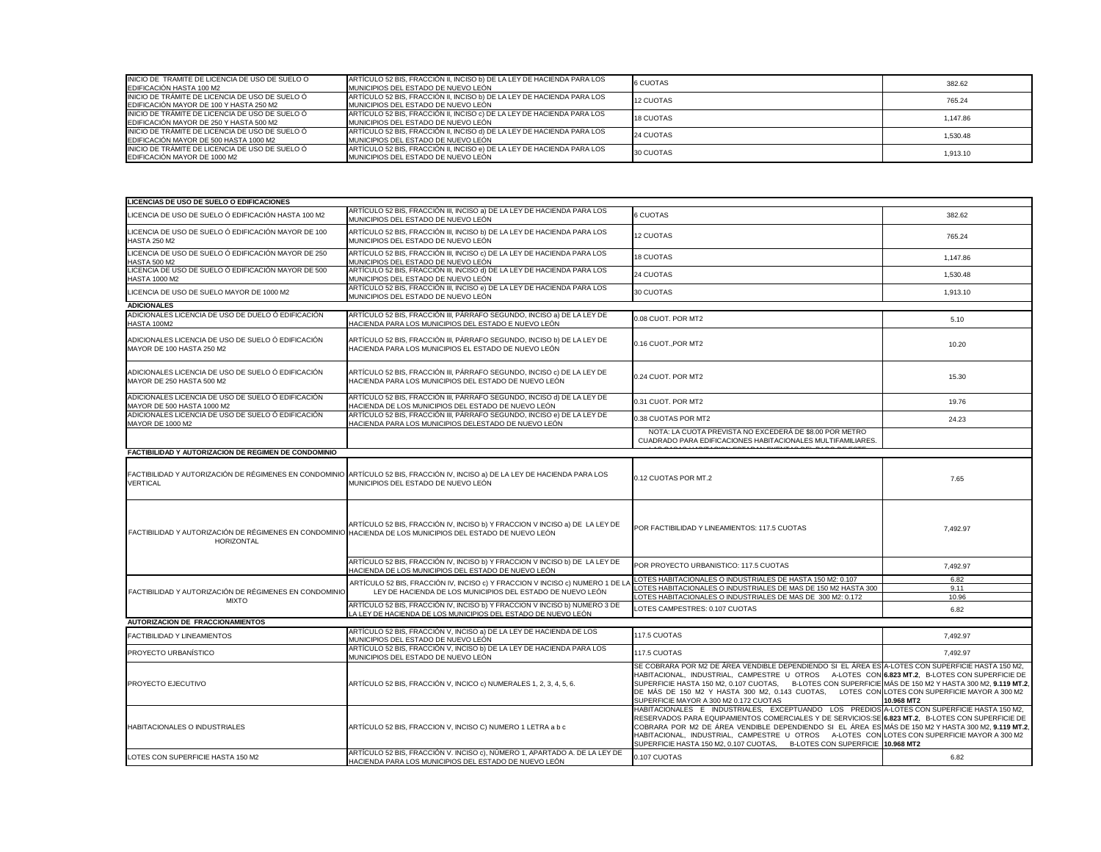| INICIO DE TRAMITE DE LICENCIA DE USO DE SUELO O<br><b>IEDIFICACIÓN HASTA 100 M2</b>        | ARTÍCULO 52 BIS, FRACCIÓN II, INCISO b) DE LA LEY DE HACIENDA PARA LOS<br>IMUNICIPIOS DEL ESTADO DE NUEVO LEÓN | 6 CUOTAS  | 382.62   |
|--------------------------------------------------------------------------------------------|----------------------------------------------------------------------------------------------------------------|-----------|----------|
| INICIO DE TRÁMITE DE LICENCIA DE USO DE SUELO Ó<br>EDIFICACIÓN MAYOR DE 100 Y HASTA 250 M2 | ARTÍCULO 52 BIS, FRACCIÓN II, INCISO b) DE LA LEY DE HACIENDA PARA LOS<br>IMUNICIPIOS DEL ESTADO DE NUEVO LEÓN | 12 CUOTAS | 765.24   |
| INICIO DE TRÁMITE DE LICENCIA DE USO DE SUELO Ó<br>EDIFICACIÓN MAYOR DE 250 Y HASTA 500 M2 | ARTÍCULO 52 BIS, FRACCIÓN II, INCISO c) DE LA LEY DE HACIENDA PARA LOS<br>IMUNICIPIOS DEL ESTADO DE NUEVO LEÓN | 18 CUOTAS | 1,147.86 |
| INICIO DE TRÁMITE DE LICENCIA DE USO DE SUELO Ó<br>EDIFICACIÓN MAYOR DE 500 HASTA 1000 M2  | ARTÍCULO 52 BIS, FRACCIÓN II, INCISO d) DE LA LEY DE HACIENDA PARA LOS<br>MUNICIPIOS DEL ESTADO DE NUEVO LEÓN  | 24 CUOTAS | 1,530.48 |
| INICIO DE TRÁMITE DE LICENCIA DE USO DE SUELO Ó<br>EDIFICACIÓN MAYOR DE 1000 M2            | ARTÍCULO 52 BIS, FRACCIÓN II, INCISO e) DE LA LEY DE HACIENDA PARA LOS<br>MUNICIPIOS DEL ESTADO DE NUEVO LEÓN  | 30 CUOTAS | 1,913.10 |

| <b>LICENCIAS DE USO DE SUELO O EDIFICACIONES</b>                                                                         |                                                                                                                                                                      |                                                                                                                                                                                                                                                                                                                                                                                                                                                                                    |            |
|--------------------------------------------------------------------------------------------------------------------------|----------------------------------------------------------------------------------------------------------------------------------------------------------------------|------------------------------------------------------------------------------------------------------------------------------------------------------------------------------------------------------------------------------------------------------------------------------------------------------------------------------------------------------------------------------------------------------------------------------------------------------------------------------------|------------|
| LICENCIA DE USO DE SUELO Ó EDIFICACIÓN HASTA 100 M2                                                                      | ARTÍCULO 52 BIS, FRACCIÓN III, INCISO a) DE LA LEY DE HACIENDA PARA LOS<br>MUNICIPIOS DEL ESTADO DE NUEVO LEÓN                                                       | 6 CUOTAS                                                                                                                                                                                                                                                                                                                                                                                                                                                                           | 382.62     |
| LICENCIA DE USO DE SUELO Ó EDIFICACIÓN MAYOR DE 100<br><b>HASTA 250 M2</b>                                               | ARTÍCULO 52 BIS, FRACCIÓN III, INCISO b) DE LA LEY DE HACIENDA PARA LOS<br>MUNICIPIOS DEL ESTADO DE NUEVO LEÓN                                                       | <b>12 CUOTAS</b>                                                                                                                                                                                                                                                                                                                                                                                                                                                                   | 765.24     |
| LICENCIA DE USO DE SUELO Ó EDIFICACIÓN MAYOR DE 250<br><b>HASTA 500 M2</b>                                               | ARTÍCULO 52 BIS, FRACCIÓN III, INCISO c) DE LA LEY DE HACIENDA PARA LOS<br>MUNICIPIOS DEL ESTADO DE NUEVO LEÓN                                                       | <b>18 CUOTAS</b>                                                                                                                                                                                                                                                                                                                                                                                                                                                                   | 1,147.86   |
| LICENCIA DE USO DE SUELO Ó EDIFICACIÓN MAYOR DE 500<br><b>HASTA 1000 M2</b>                                              | ARTÍCULO 52 BIS, FRACCIÓN III, INCISO d) DE LA LEY DE HACIENDA PARA LOS<br>MUNICIPIOS DEL ESTADO DE NUEVO LEÓN                                                       | 24 CUOTAS                                                                                                                                                                                                                                                                                                                                                                                                                                                                          | 1,530.48   |
| LICENCIA DE USO DE SUELO MAYOR DE 1000 M2                                                                                | ARTÍCULO 52 BIS, FRACCIÓN III, INCISO e) DE LA LEY DE HACIENDA PARA LOS<br>MUNICIPIOS DEL ESTADO DE NUEVO LEÓN                                                       | 30 CUOTAS                                                                                                                                                                                                                                                                                                                                                                                                                                                                          | 1,913.10   |
| <b>ADICIONALES</b>                                                                                                       |                                                                                                                                                                      |                                                                                                                                                                                                                                                                                                                                                                                                                                                                                    |            |
| ADICIONALES LICENCIA DE USO DE DUELO Ó EDIFICACIÓN<br>HASTA 100M2                                                        | ARTÍCULO 52 BIS, FRACCIÓN III, PÁRRAFO SEGUNDO, INCISO a) DE LA LEY DE<br>HACIENDA PARA LOS MUNICIPIOS DEL ESTADO E NUEVO LEÓN                                       | 0.08 CUOT. POR MT2                                                                                                                                                                                                                                                                                                                                                                                                                                                                 | 5.10       |
| ADICIONALES LICENCIA DE USO DE SUELO Ó EDIFICACIÓN<br>MAYOR DE 100 HASTA 250 M2                                          | ARTÍCULO 52 BIS, FRACCIÓN III, PÁRRAFO SEGUNDO, INCISO b) DE LA LEY DE<br>HACIENDA PARA LOS MUNICIPIOS EL ESTADO DE NUEVO LEÓN                                       | 0.16 CUOT., POR MT2                                                                                                                                                                                                                                                                                                                                                                                                                                                                | 10.20      |
| ADICIONALES LICENCIA DE USO DE SUELO Ó EDIFICACIÓN<br>MAYOR DE 250 HASTA 500 M2                                          | ARTÍCULO 52 BIS, FRACCIÓN III, PÁRRAFO SEGUNDO, INCISO c) DE LA LEY DE<br>HACIENDA PARA LOS MUNICIPIOS DEL ESTADO DE NUEVO LEÓN                                      | 0.24 CUOT. POR MT2                                                                                                                                                                                                                                                                                                                                                                                                                                                                 | 15.30      |
| ADICIONALES LICENCIA DE USO DE SUELO Ó EDIFICACIÓN<br>MAYOR DE 500 HASTA 1000 M2                                         | ARTÍCULO 52 BIS, FRACCIÓN III, PÁRRAFO SEGUNDO, INCISO d) DE LA LEY DE<br>HACIENDA DE LOS MUNICIPIOS DEL ESTADO DE NUEVO LEÓN                                        | 0.31 CUOT. POR MT2                                                                                                                                                                                                                                                                                                                                                                                                                                                                 | 19.76      |
| ADICIONALES LICENCIA DE USO DE SUELO Ó EDIFICACIÓN<br><b>MAYOR DE 1000 M2</b>                                            | ARTÍCULO 52 BIS, FRACCIÓN III, PÁRRAFO SEGUNDO, INCISO e) DE LA LEY DE<br>HACIENDA PARA LOS MUNICIPIOS DELESTADO DE NUEVO LEÓN                                       | 0.38 CUOTAS POR MT2                                                                                                                                                                                                                                                                                                                                                                                                                                                                | 24.23      |
|                                                                                                                          |                                                                                                                                                                      | NOTA: LA CUOTA PREVISTA NO EXCEDERÁ DE \$8.00 POR METRO<br>CUADRADO PARA EDIFICACIONES HABITACIONALES MULTIFAMILIARES.                                                                                                                                                                                                                                                                                                                                                             |            |
| <b>FACTIBILIDAD Y AUTORIZACION DE REGIMEN DE CONDOMINIO</b>                                                              |                                                                                                                                                                      |                                                                                                                                                                                                                                                                                                                                                                                                                                                                                    |            |
| <b>VERTICAL</b>                                                                                                          | FACTIBILIDAD Y AUTORIZACIÓN DE RÉGIMENES EN CONDOMINIO ARTÍCULO 52 BIS, FRACCIÓN IV, INCISO a) DE LA LEY DE HACIENDA PARA LOS<br>MUNICIPIOS DEL ESTADO DE NUEVO LEÓN | 0.12 CUOTAS POR MT.2                                                                                                                                                                                                                                                                                                                                                                                                                                                               | 7.65       |
| FACTIBILIDAD Y AUTORIZACIÓN DE RÉGIMENES EN CONDOMINIO HACIENDA DE LOS MUNICIPIOS DEL ESTADO DE NUEVO LEÓN<br>HORIZONTAL | ARTÍCULO 52 BIS, FRACCIÓN IV, INCISO b) Y FRACCION V INCISO a) DE LA LEY DE                                                                                          | <b>POR FACTIBILIDAD Y LINEAMIENTOS: 117.5 CUOTAS</b>                                                                                                                                                                                                                                                                                                                                                                                                                               | 7,492.97   |
|                                                                                                                          | ARTÍCULO 52 BIS, FRACCIÓN IV, INCISO b) Y FRACCION V INCISO b) DE LA LEY DE<br>HACIENDA DE LOS MUNICIPIOS DEL ESTADO DE NUEVO LEÓN                                   | POR PROYECTO URBANISTICO: 117.5 CUOTAS                                                                                                                                                                                                                                                                                                                                                                                                                                             | 7,492.97   |
|                                                                                                                          | ARTÍCULO 52 BIS, FRACCIÓN IV, INCISO c) Y FRACCION V INCISO c) NUMERO 1 DE L                                                                                         | LOTES HABITACIONALES O INDUSTRIALES DE HASTA 150 M2: 0.107                                                                                                                                                                                                                                                                                                                                                                                                                         | 6.82       |
| FACTIBILIDAD Y AUTORIZACIÓN DE RÉGIMENES EN CONDOMINIO                                                                   | LEY DE HACIENDA DE LOS MUNICIPIOS DEL ESTADO DE NUEVO LEÓN                                                                                                           | LOTES HABITACIONALES O INDUSTRIALES DE MAS DE 150 M2 HASTA 300                                                                                                                                                                                                                                                                                                                                                                                                                     | 9.11       |
| <b>MIXTO</b>                                                                                                             |                                                                                                                                                                      | LOTES HABITACIONALES O INDUSTRIALES DE MAS DE 300 M2: 0.172                                                                                                                                                                                                                                                                                                                                                                                                                        | 10.96      |
|                                                                                                                          | ARTÍCULO 52 BIS, FRACCIÓN IV, INCISO b) Y FRACCION V INCISO b) NUMERO 3 DE<br>LA LEY DE HACIENDA DE LOS MUNICIPIOS DEL ESTADO DE NUEVO LEÓN                          | LOTES CAMPESTRES: 0.107 CUOTAS                                                                                                                                                                                                                                                                                                                                                                                                                                                     | 6.82       |
| <b>AUTORIZACION DE FRACCIONAMIENTOS</b>                                                                                  |                                                                                                                                                                      |                                                                                                                                                                                                                                                                                                                                                                                                                                                                                    |            |
| <b>FACTIBILIDAD Y LINEAMIENTOS</b>                                                                                       | ARTÍCULO 52 BIS, FRACCIÓN V, INCISO a) DE LA LEY DE HACIENDA DE LOS<br>MUNICIPIOS DEL ESTADO DE NUEVO LEÓN                                                           | 117.5 CUOTAS                                                                                                                                                                                                                                                                                                                                                                                                                                                                       | 7,492.97   |
| PROYECTO URBANÍSTICO                                                                                                     | ARTÍCULO 52 BIS, FRACCIÓN V, INCISO b) DE LA LEY DE HACIENDA PARA LOS<br>MUNICIPIOS DEL ESTADO DE NUEVO LEÓN                                                         | 117.5 CUOTAS                                                                                                                                                                                                                                                                                                                                                                                                                                                                       | 7,492.97   |
| <b>PROYECTO EJECUTIVO</b>                                                                                                | ARTÍCULO 52 BIS, FRACCIÓN V, INCICO c) NUMERALES 1, 2, 3, 4, 5, 6.                                                                                                   | SE COBRARA POR M2 DE ÁREA VENDIBLE DEPENDIENDO SI EL ÁREA ES A-LOTES CON SUPERFICIE HASTA 150 M2,<br>HABITACIONAL, INDUSTRIAL, CAMPESTRE U OTROS A-LOTES CON 6.823 MT.2, B-LOTES CON SUPERFICIE DE<br>SUPERFICIE HASTA 150 M2, 0.107 CUOTAS, B-LOTES CON SUPERFICIE MÁS DE 150 M2 Y HASTA 300 M2, 9.119 MT.2,<br>DE MÁS DE 150 M2 Y HASTA 300 M2, 0.143 CUOTAS, LOTES CON LOTES CON SUPERFICIE MAYOR A 300 M2<br>SUPERFICIE MAYOR A 300 M2 0.172 CUOTAS                            | 10.968 MT2 |
| <b>HABITACIONALES O INDUSTRIALES</b>                                                                                     | ARTÍCULO 52 BIS, FRACCION V, INCISO C) NUMERO 1 LETRA a b c                                                                                                          | HABITACIONALES E INDUSTRIALES, EXCEPTUANDO LOS PREDIOS A-LOTES CON SUPERFICIE HASTA 150 M2,<br>RESERVADOS PARA EQUIPAMIENTOS COMERCIALES Y DE SERVICIOS:SE 6.823 MT.2, B-LOTES CON SUPERFICIE DE<br>COBRARA POR M2 DE ÁREA VENDIBLE DEPENDIENDO SI EL ÁREA ES MÁS DE 150 M2 Y HASTA 300 M2, 9.119 MT.2,<br>HABITACIONAL, INDUSTRIAL, CAMPESTRE U OTROS A-LOTES CON LOTES CON SUPERFICIE MAYOR A 300 M2<br>SUPERFICIE HASTA 150 M2, 0.107 CUOTAS, B-LOTES CON SUPERFICIE 10.968 MT2 |            |
| LOTES CON SUPERFICIE HASTA 150 M2                                                                                        | ARTÍCULO 52 BIS, FRACCIÓN V. INCISO c), NÚMERO 1, APARTADO A. DE LA LEY DE<br>HACIENDA PARA LOS MUNICIPIOS DEL ESTADO DE NUEVO LEÓN                                  | 0.107 CUOTAS                                                                                                                                                                                                                                                                                                                                                                                                                                                                       | 6.82       |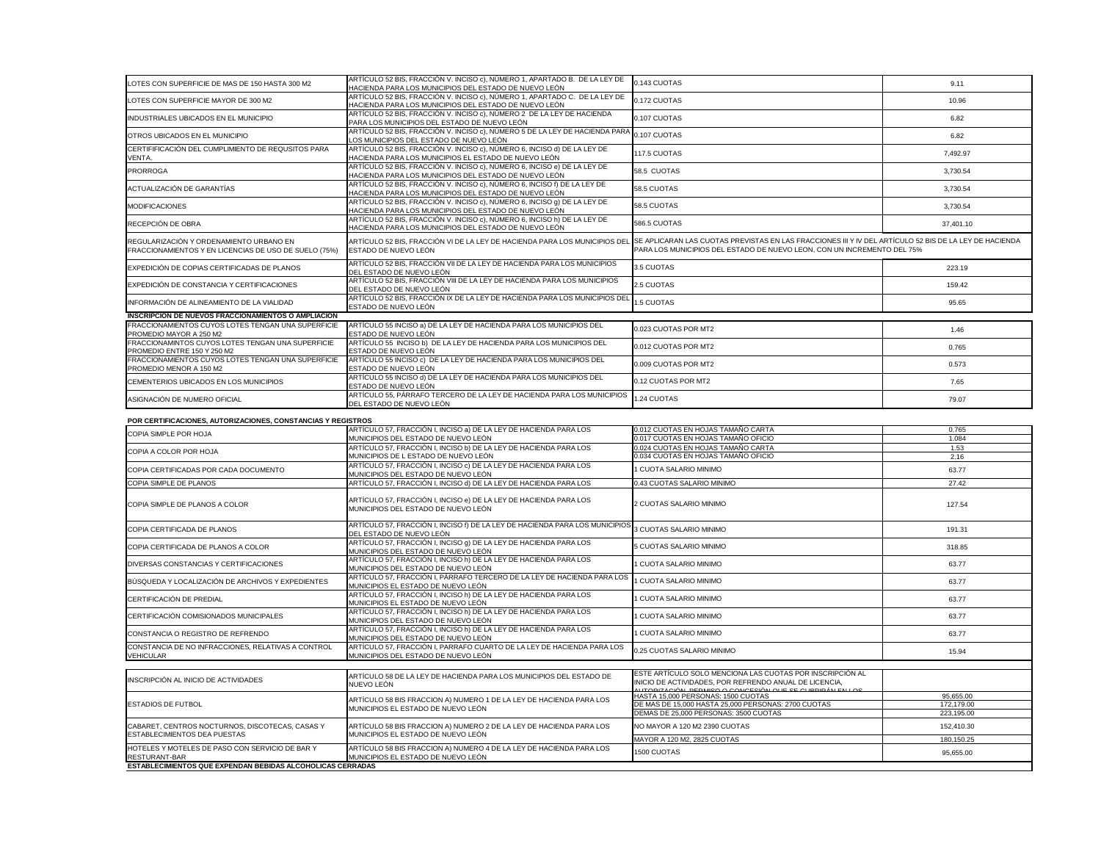| LOTES CON SUPERFICIE DE MAS DE 150 HASTA 300 M2                                                                                | ARTÍCULO 52 BIS, FRACCIÓN V. INCISO c), NÚMERO 1, APARTADO B. DE LA LEY DE<br>HACIENDA PARA LOS MUNICIPIOS DEL ESTADO DE NUEVO LEÓN                                                                       | 0.143 CUOTAS                                                                                                        | 9.11                     |
|--------------------------------------------------------------------------------------------------------------------------------|-----------------------------------------------------------------------------------------------------------------------------------------------------------------------------------------------------------|---------------------------------------------------------------------------------------------------------------------|--------------------------|
| LOTES CON SUPERFICIE MAYOR DE 300 M2                                                                                           | ARTÍCULO 52 BIS, FRACCIÓN V. INCISO c), NÚMERO 1, APARTADO C. DE LA LEY DE<br>HACIENDA PARA LOS MUNICIPIOS DEL ESTADO DE NUEVO LEÓN                                                                       | 0.172 CUOTAS                                                                                                        | 10.96                    |
| INDUSTRIALES UBICADOS EN EL MUNICIPIO                                                                                          | ARTÍCULO 52 BIS, FRACCIÓN V. INCISO c), NÚMERO 2 DE LA LEY DE HACIENDA<br>PARA LOS MUNICIPIOS DEL ESTADO DE NUEVO LEÓN                                                                                    | 0.107 CUOTAS                                                                                                        | 6.82                     |
| OTROS UBICADOS EN EL MUNICIPIO                                                                                                 | ARTÍCULO 52 BIS, FRACCIÓN V. INCISO c), NÚMERO 5 DE LA LEY DE HACIENDA PARA<br>LOS MUNICIPIOS DEL ESTADO DE NUEVO LEÓN                                                                                    | 0.107 CUOTAS                                                                                                        | 6.82                     |
| CERTIFIFICACIÓN DEL CUMPLIMIENTO DE REQUSITOS PARA<br>VENTA.                                                                   | ARTÍCULO 52 BIS, FRACCIÓN V. INCISO c), NÚMERO 6, INCISO d) DE LA LEY DE<br>HACIENDA PARA LOS MUNICIPIOS EL ESTADO DE NUEVO LEÓN                                                                          | 117.5 CUOTAS                                                                                                        | 7,492.97                 |
| <b>PRORROGA</b>                                                                                                                | ARTÍCULO 52 BIS, FRACCIÓN V. INCISO c), NÚMERO 6, INCISO e) DE LA LEY DE<br>HACIENDA PARA LOS MUNICIPIOS DEL ESTADO DE NUEVO LEÓN                                                                         | 58.5 CUOTAS                                                                                                         | 3,730.54                 |
| ACTUALIZACIÓN DE GARANTÍAS                                                                                                     | ARTÍCULO 52 BIS, FRACCIÓN V. INCISO c), NÚMERO 6, INCISO f) DE LA LEY DE<br>HACIENDA PARA LOS MUNICIPIOS DEL ESTADO DE NUEVO LEÓN                                                                         | 58.5 CUOTAS                                                                                                         | 3,730.54                 |
| <b>MODIFICACIONES</b>                                                                                                          | ARTÍCULO 52 BIS, FRACCIÓN V. INCISO c), NÚMERO 6, INCISO 9) DE LA LEY DE<br>HACIENDA PARA LOS MUNICIPIOS DEL ESTADO DE NUEVO LEÓN                                                                         | 58.5 CUOTAS                                                                                                         | 3,730.54                 |
| RECEPCIÓN DE OBRA                                                                                                              | ARTÍCULO 52 BIS, FRACCIÓN V. INCISO c), NÚMERO 6, INCISO h) DE LA LEY DE<br>HACIENDA PARA LOS MUNICIPIOS DEL ESTADO DE NUEVO LEÓN                                                                         | 586.5 CUOTAS                                                                                                        | 37,401.10                |
| REGULARIZACIÓN Y ORDENAMIENTO URBANO EN<br>FRACCIONAMIENTOS Y EN LICENCIAS DE USO DE SUELO (75%)                               | ARTÍCULO 52 BIS, FRACCIÓN VI DE LA LEY DE HACIENDA PARA LOS MUNICIPIOS DEL SE APLICARAN LAS CUOTAS PREVISTAS EN LAS FRACCIONES III Y IV DEL ARTÍCULO 52 BIS DE LA LEY DE HACIENDA<br>ESTADO DE NUEVO LEÓN | PARA LOS MUNICIPIOS DEL ESTADO DE NUEVO LEON, CON UN INCREMENTO DEL 75%                                             |                          |
| EXPEDICIÓN DE COPIAS CERTIFICADAS DE PLANOS                                                                                    | ARTÍCULO 52 BIS, FRACCIÓN VII DE LA LEY DE HACIENDA PARA LOS MUNICIPIOS<br>DEL ESTADO DE NUEVO LEÓN                                                                                                       | 3.5 CUOTAS                                                                                                          | 223.19                   |
| EXPEDICIÓN DE CONSTANCIA Y CERTIFICACIONES                                                                                     | ARTÍCULO 52 BIS, FRACCIÓN VIII DE LA LEY DE HACIENDA PARA LOS MUNICIPIOS<br>DEL ESTADO DE NUEVO LEÓN                                                                                                      | 2.5 CUOTAS                                                                                                          | 159.42                   |
| INFORMACIÓN DE ALINEAMIENTO DE LA VIALIDAD                                                                                     | ARTÍCULO 52 BIS, FRACCIÓN IX DE LA LEY DE HACIENDA PARA LOS MUNICIPIOS DEL<br>ESTADO DE NUEVO LEÓN                                                                                                        | 1.5 CUOTAS                                                                                                          | 95.65                    |
| <b>INSCRIPCION DE NUEVOS FRACCIONAMIENTOS O AMPLIACION</b>                                                                     |                                                                                                                                                                                                           |                                                                                                                     |                          |
| FRACCIONAMIENTOS CUYOS LOTES TENGAN UNA SUPERFICIE<br>PROMEDIO MAYOR A 250 M2                                                  | ARTÍCULO 55 INCISO a) DE LA LEY DE HACIENDA PARA LOS MUNICIPIOS DEL<br>ESTADO DE NUEVO LEÓN                                                                                                               | 0.023 CUOTAS POR MT2                                                                                                | 1.46                     |
| FRACCIONAMINTOS CUYOS LOTES TENGAN UNA SUPERFICIE<br>PROMEDIO ENTRE 150 Y 250 M2                                               | ARTÍCULO 55 INCISO b) DE LA LEY DE HACIENDA PARA LOS MUNICIPIOS DEL<br>ESTADO DE NUEVO LEÓN                                                                                                               | 0.012 CUOTAS POR MT2                                                                                                | 0.765                    |
| FRACCIONAMIENTOS CUYOS LOTES TENGAN UNA SUPERFICIE<br>PROMEDIO MENOR A 150 M2                                                  | ARTÍCULO 55 INCISO c) DE LA LEY DE HACIENDA PARA LOS MUNICIPIOS DEL<br>ESTADO DE NUEVO LEÓN                                                                                                               | 0.009 CUOTAS POR MT2                                                                                                | 0.573                    |
| CEMENTERIOS UBICADOS EN LOS MUNICIPIOS                                                                                         | ARTÍCULO 55 INCISO d) DE LA LEY DE HACIENDA PARA LOS MUNICIPIOS DEL<br>ESTADO DE NUEVO LEÓN                                                                                                               | 0.12 CUOTAS POR MT2                                                                                                 | 7.65                     |
| ASIGNACIÓN DE NUMERO OFICIAL                                                                                                   | ARTÍCULO 55, PÁRRAFO TERCERO DE LA LEY DE HACIENDA PARA LOS MUNICIPIOS<br>DEL ESTADO DE NUEVO LEÓN                                                                                                        | 1.24 CUOTAS                                                                                                         | 79.07                    |
| POR CERTIFICACIONES, AUTORIZACIONES, CONSTANCIAS Y REGISTROS                                                                   |                                                                                                                                                                                                           |                                                                                                                     |                          |
|                                                                                                                                | ARTÍCULO 57, FRACCIÓN I, INCISO a) DE LA LEY DE HACIENDA PARA LOS                                                                                                                                         | 0.012 CUOTAS EN HOJAS TAMAÑO CARTA                                                                                  | 0.765                    |
|                                                                                                                                |                                                                                                                                                                                                           |                                                                                                                     |                          |
| <b>COPIA SIMPLE POR HOJA</b>                                                                                                   | MUNICIPIOS DEL ESTADO DE NUEVO LEÓN                                                                                                                                                                       | 0.017 CUOTAS EN HOJAS TAMAÑO OFICIO                                                                                 | 1.084                    |
| COPIA A COLOR POR HOJA                                                                                                         | ARTÍCULO 57, FRACCIÓN I, INCISO b) DE LA LEY DE HACIENDA PARA LOS<br>MUNICIPIOS DE L ESTADO DE NUEVO LEÓN                                                                                                 | 0.024 CUOTAS EN HOJAS TAMAÑO CARTA<br>0.034 CUOTAS EN HOJAS TAMAÑO OFICIO                                           | 1.53<br>2.16             |
| COPIA CERTIFICADAS POR CADA DOCUMENTO                                                                                          | ARTÍCULO 57, FRACCIÓN I, INCISO c) DE LA LEY DE HACIENDA PARA LOS<br>MUNICIPIOS DEL ESTADO DE NUEVO LEÓN                                                                                                  | 1 CUOTA SALARIO MINIMO                                                                                              | 63.77                    |
| COPIA SIMPLE DE PLANOS                                                                                                         | ARTÍCULO 57, FRACCIÓN I, INCISO d) DE LA LEY DE HACIENDA PARA LOS                                                                                                                                         | 0.43 CUOTAS SALARIO MINIMO                                                                                          | 27.42                    |
| COPIA SIMPLE DE PLANOS A COLOR                                                                                                 | ARTÍCULO 57, FRACCIÓN I, INCISO e) DE LA LEY DE HACIENDA PARA LOS<br>MUNICIPIOS DEL ESTADO DE NUEVO LEÓN                                                                                                  | 2 CUOTAS SALARIO MINIMO                                                                                             | 127.54                   |
| COPIA CERTIFICADA DE PLANOS                                                                                                    | ARTÍCULO 57, FRACCIÓN I, INCISO f) DE LA LEY DE HACIENDA PARA LOS MUNICIPIOS<br>DEL ESTADO DE NUEVO LEÓN                                                                                                  | 3 CUOTAS SALARIO MINIMO                                                                                             | 191.31                   |
| COPIA CERTIFICADA DE PLANOS A COLOR                                                                                            | ARTÍCULO 57, FRACCIÓN I, INCISO 9) DE LA LEY DE HACIENDA PARA LOS<br>MUNICIPIOS DEL ESTADO DE NUEVO LEÓN                                                                                                  | 5 CUOTAS SALARIO MINIMO                                                                                             | 318.85                   |
| DIVERSAS CONSTANCIAS Y CERTIFICACIONES                                                                                         | ARTÍCULO 57, FRACCIÓN I, INCISO h) DE LA LEY DE HACIENDA PARA LOS<br>MUNICIPIOS DEL ESTADO DE NUEVO LEÓN                                                                                                  | 1 CUOTA SALARIO MINIMO                                                                                              | 63.77                    |
| BÚSQUEDA Y LOCALIZACIÓN DE ARCHIVOS Y EXPEDIENTES                                                                              | ARTÍCULO 57, FRACCIÓN I, PÁRRAFO TERCERO DE LA LEY DE HACIENDA PARA LOS<br>MUNICIPIOS EL ESTADO DE NUEVO LEÓN                                                                                             | 1 CUOTA SALARIO MINIMO                                                                                              | 63.77                    |
| CERTIFICACIÓN DE PREDIAL                                                                                                       | ARTÍCULO 57, FRACCIÓN I, INCISO h) DE LA LEY DE HACIENDA PARA LOS<br>MUNICIPIOS EL ESTADO DE NUEVO LEÓN                                                                                                   | 1 CUOTA SALARIO MINIMO                                                                                              | 63.77                    |
| CERTIFICACIÓN COMISIONADOS MUNICIPALES                                                                                         | ARTÍCULO 57, FRACCIÓN I, INCISO h) DE LA LEY DE HACIENDA PARA LOS<br>MUNICIPIOS DEL ESTADO DE NUEVO LEÓN                                                                                                  | 1 CUOTA SALARIO MINIMO                                                                                              | 63.77                    |
| CONSTANCIA O REGISTRO DE REFRENDO                                                                                              | ARTÍCULO 57, FRACCIÓN I, INCISO h) DE LA LEY DE HACIENDA PARA LOS<br>MUNICIPIOS DEL ESTADO DE NUEVO LEÓN                                                                                                  | 1 CUOTA SALARIO MINIMO                                                                                              | 63.77                    |
| CONSTANCIA DE NO INFRACCIONES, RELATIVAS A CONTROL<br><b>VEHICULAR</b>                                                         | ARTÍCULO 57, FRACCIÓN I, PARRAFO CUARTO DE LA LEY DE HACIENDA PARA LOS<br>MUNICIPIOS DEL ESTADO DE NUEVO LEÓN                                                                                             | 0.25 CUOTAS SALARIO MINIMO                                                                                          | 15.94                    |
|                                                                                                                                |                                                                                                                                                                                                           |                                                                                                                     |                          |
| INSCRIPCIÓN AL INICIO DE ACTIVIDADES                                                                                           | ARTÍCULO 58 DE LA LEY DE HACIENDA PARA LOS MUNICIPIOS DEL ESTADO DE<br>NUEVO LEÓN                                                                                                                         | ESTE ARTÍCULO SOLO MENCIONA LAS CUOTAS POR INSCRIPCIÓN AL<br>INICIO DE ACTIVIDADES, POR REFRENDO ANUAL DE LICENCIA, |                          |
|                                                                                                                                |                                                                                                                                                                                                           | AUTORIZACIÓN, REBANCO O CONCESIÓN QUE SE CURRIDÁN EN LOS.<br>HASTA 15,000 PERSONAS: 1500 CUOTAS                     | 95,655.00                |
| <b>ESTADIOS DE FUTBOL</b>                                                                                                      | ARTÍCULO 58 BIS FRACCION A) NUMERO 1 DE LA LEY DE HACIENDA PARA LOS<br>MUNICIPIOS EL ESTADO DE NUEVO LEÓN                                                                                                 | DE MAS DE 15,000 HASTA 25,000 PERSONAS: 2700 CUOTAS                                                                 | 172,179.00               |
| CABARET, CENTROS NOCTURNOS, DISCOTECAS, CASAS Y                                                                                |                                                                                                                                                                                                           | DEMAS DE 25,000 PERSONAS: 3500 CUOTAS<br>NO MAYOR A 120 M2 2390 CUOTAS                                              | 223,195.00               |
| ESTABLECIMIENTOS DEA PUESTAS                                                                                                   | ARTÍCULO 58 BIS FRACCION A) NUMERO 2 DE LA LEY DE HACIENDA PARA LOS<br>MUNICIPIOS EL ESTADO DE NUEVO LEÓN                                                                                                 | MAYOR A 120 M2, 2825 CUOTAS                                                                                         | 152,410.30<br>180,150.25 |
| HOTELES Y MOTELES DE PASO CON SERVICIO DE BAR Y<br>RESTURANT-BAR<br>ESTABLECIMIENTOS QUE EXPENDAN BEBIDAS ALCOHOLICAS CERRADAS | ARTÍCULO 58 BIS FRACCION A) NUMERO 4 DE LA LEY DE HACIENDA PARA LOS<br>MUNICIPIOS EL ESTADO DE NUEVO LEÓN                                                                                                 | 1500 CUOTAS                                                                                                         | 95,655.00                |

| ILUTES CON SUPERFICIE DE MAS DE 150 HASTA 300 MZ                                                                                           | HACIENDA PARA LOS MUNICIPIOS DEL ESTADO DE NUEVO LEÓN                                                                                                                                                     | U.143 GUOTAS                                                                                                                                           | 9.11                     |
|--------------------------------------------------------------------------------------------------------------------------------------------|-----------------------------------------------------------------------------------------------------------------------------------------------------------------------------------------------------------|--------------------------------------------------------------------------------------------------------------------------------------------------------|--------------------------|
| LOTES CON SUPERFICIE MAYOR DE 300 M2                                                                                                       | ARTÍCULO 52 BIS, FRACCIÓN V. INCISO c), NÚMERO 1, APARTADO C. DE LA LEY DE<br>HACIENDA PARA LOS MUNICIPIOS DEL ESTADO DE NUEVO LEÓN                                                                       | 0.172 CUOTAS                                                                                                                                           | 10.96                    |
| INDUSTRIALES UBICADOS EN EL MUNICIPIO                                                                                                      | ARTÍCULO 52 BIS, FRACCIÓN V. INCISO c), NÚMERO 2 DE LA LEY DE HACIENDA<br>PARA LOS MUNICIPIOS DEL ESTADO DE NUEVO LEÓN                                                                                    | 0.107 CUOTAS                                                                                                                                           | 6.82                     |
| OTROS UBICADOS EN EL MUNICIPIO                                                                                                             | LANA LOU MUNICIPI NO DEL LOVIDO C), NÚMERO 5 DE LA LEY DE HACIENDA PARA <sub>0.107</sub> CUOTAS<br>LOS MUNICIPIOS DEL ESTADO DE NUEVO LEÓN                                                                |                                                                                                                                                        | 6.82                     |
| CERTIFIFICACIÓN DEL CUMPLIMIENTO DE REQUSITOS PARA<br>VENTA.                                                                               | ARTÍCULO 52 BIS, FRACCIÓN V. INCISO c), NÚMERO 6, INCISO d) DE LA LEY DE<br>HACIENDA PARA LOS MUNICIPIOS EL ESTADO DE NUEVO LEÓN                                                                          | 117.5 CUOTAS                                                                                                                                           | 7,492.97                 |
| <b>PRORROGA</b>                                                                                                                            | ARTÍCULO 52 BIS, FRACCIÓN V. INCISO c), NÚMERO 6, INCISO e) DE LA LEY DE<br>HACIENDA PARA LOS MUNICIPIOS DEL ESTADO DE NUEVO LEÓN                                                                         | 58.5 CUOTAS                                                                                                                                            | 3,730.54                 |
| ACTUALIZACIÓN DE GARANTÍAS                                                                                                                 | ARTÍCULO 52 BIS, FRACCIÓN V. INCISO c), NÚMERO 6, INCISO f) DE LA LEY DE<br>HACIENDA PARA LOS MUNICIPIOS DEL ESTADO DE NUEVO LEÓN                                                                         | 58.5 CUOTAS                                                                                                                                            | 3,730.54                 |
| <b>MODIFICACIONES</b>                                                                                                                      | ARTÍCULO 52 BIS, FRACCIÓN V. INCISO c), NÚMERO 6, INCISO 9) DE LA LEY DE<br>HACIENDA PARA LOS MUNICIPIOS DEL ESTADO DE NUEVO LEÓN                                                                         | 58.5 CUOTAS                                                                                                                                            | 3,730.54                 |
| RECEPCIÓN DE OBRA                                                                                                                          | ARTÍCULO 52 BIS, FRACCIÓN V. INCISO c), NÚMERO 6, INCISO h) DE LA LEY DE<br>HACIENDA PARA LOS MUNICIPIOS DEL ESTADO DE NUEVO LEÓN                                                                         | 586.5 CUOTAS                                                                                                                                           | 37,401.10                |
| REGULARIZACIÓN Y ORDENAMIENTO URBANO EN<br>FRACCIONAMIENTOS Y EN LICENCIAS DE USO DE SUELO (75%)                                           | ARTÍCULO 52 BIS, FRACCIÓN VI DE LA LEY DE HACIENDA PARA LOS MUNICIPIOS DEL SE APLICARAN LAS CUOTAS PREVISTAS EN LAS FRACCIONES III Y IV DEL ARTÍCULO 52 BIS DE LA LEY DE HACIENDA<br>ESTADO DE NUEVO LEÓN | PARA LOS MUNICIPIOS DEL ESTADO DE NUEVO LEON, CON UN INCREMENTO DEL 75%                                                                                |                          |
| EXPEDICIÓN DE COPIAS CERTIFICADAS DE PLANOS                                                                                                | ARTÍCULO 52 BIS, FRACCIÓN VII DE LA LEY DE HACIENDA PARA LOS MUNICIPIOS<br>DEL ESTADO DE NUEVO LEÓN                                                                                                       | 3.5 CUOTAS                                                                                                                                             | 223.19                   |
| EXPEDICIÓN DE CONSTANCIA Y CERTIFICACIONES                                                                                                 | ARTÍCULO 52 BIS, FRACCIÓN VIII DE LA LEY DE HACIENDA PARA LOS MUNICIPIOS<br>DEL ESTADO DE NUEVO LEÓN                                                                                                      | 2.5 CUOTAS                                                                                                                                             | 159.42                   |
| INFORMACIÓN DE ALINEAMIENTO DE LA VIALIDAD                                                                                                 | ARTÍCULO 52 BIS, FRACCIÓN IX DE LA LEY DE HACIENDA PARA LOS MUNICIPIOS DEL<br>ESTADO DE NUEVO LEÓN                                                                                                        | $-1.5$ CUOTAS                                                                                                                                          | 95.65                    |
| <b>INSCRIPCION DE NUEVOS FRACCIONAMIENTOS O AMPLIACION</b>                                                                                 |                                                                                                                                                                                                           |                                                                                                                                                        |                          |
| FRACCIONAMIENTOS CUYOS LOTES TENGAN UNA SUPERFICIE<br>PROMEDIO MAYOR A 250 M2                                                              | ARTÍCULO 55 INCISO a) DE LA LEY DE HACIENDA PARA LOS MUNICIPIOS DEL<br>ESTADO DE NUEVO LEÓN                                                                                                               | 0.023 CUOTAS POR MT2                                                                                                                                   | 1.46                     |
| FRACCIONAMINTOS CUYOS LOTES TENGAN UNA SUPERFICIE<br>PROMEDIO ENTRE 150 Y 250 M2                                                           | ARTÍCULO 55 INCISO b) DE LA LEY DE HACIENDA PARA LOS MUNICIPIOS DEL<br>ESTADO DE NUEVO LEÓN                                                                                                               | 0.012 CUOTAS POR MT2                                                                                                                                   | 0.765                    |
| FRACCIONAMIENTOS CUYOS LOTES TENGAN UNA SUPERFICIE<br>PROMEDIO MENOR A 150 M2                                                              | ARTÍCULO 55 INCISO c) DE LA LEY DE HACIENDA PARA LOS MUNICIPIOS DEL<br>ESTADO DE NUEVO LEÓN                                                                                                               | 0.009 CUOTAS POR MT2                                                                                                                                   | 0.573                    |
| CEMENTERIOS UBICADOS EN LOS MUNICIPIOS                                                                                                     | ARTÍCULO 55 INCISO d) DE LA LEY DE HACIENDA PARA LOS MUNICIPIOS DEL<br>ESTADO DE NUEVO LEÓN                                                                                                               | 0.12 CUOTAS POR MT2                                                                                                                                    | 7.65                     |
| ASIGNACIÓN DE NUMERO OFICIAL                                                                                                               | ARTÍCULO 55, PÁRRAFO TERCERO DE LA LEY DE HACIENDA PARA LOS MUNICIPIOS<br>DEL ESTADO DE NUEVO LEÓN                                                                                                        | 1.24 CUOTAS                                                                                                                                            | 79.07                    |
| POR CERTIFICACIONES, AUTORIZACIONES, CONSTANCIAS Y REGISTROS                                                                               |                                                                                                                                                                                                           |                                                                                                                                                        |                          |
| COPIA SIMPLE POR HOJA                                                                                                                      | ARTÍCULO 57, FRACCIÓN I, INCISO a) DE LA LEY DE HACIENDA PARA LOS                                                                                                                                         | 0.012 CUOTAS EN HOJAS TAMAÑO CARTA                                                                                                                     | 0.765                    |
|                                                                                                                                            | MUNICIPIOS DEL ESTADO DE NUEVO LEÓN                                                                                                                                                                       | 0.017 CUOTAS EN HOJAS TAMAÑO OFICIO                                                                                                                    | 1.084                    |
| COPIA A COLOR POR HOJA                                                                                                                     | ARTÍCULO 57, FRACCIÓN I, INCISO b) DE LA LEY DE HACIENDA PARA LOS<br>MUNICIPIOS DE L ESTADO DE NUEVO LEÓN                                                                                                 | 0.024 CUOTAS EN HOJAS TAMAÑO CARTA<br>0.034 CUOTAS EN HOJAS TAMAÑO OFICIO                                                                              | 1.53<br>2.16             |
| COPIA CERTIFICADAS POR CADA DOCUMENTO                                                                                                      | ARTÍCULO 57, FRACCIÓN I, INCISO c) DE LA LEY DE HACIENDA PARA LOS<br>MUNICIPIOS DEL ESTADO DE NUEVO LEÓN                                                                                                  | 1 CUOTA SALARIO MINIMO                                                                                                                                 | 63.77                    |
| COPIA SIMPLE DE PLANOS                                                                                                                     | ARTÍCULO 57, FRACCIÓN I, INCISO d) DE LA LEY DE HACIENDA PARA LOS                                                                                                                                         | 0.43 CUOTAS SALARIO MINIMO                                                                                                                             | 27.42                    |
| ARTÍCULO 57, FRACCIÓN I, INCISO e) DE LA LEY DE HACIENDA PARA LOS<br>COPIA SIMPLE DE PLANOS A COLOR<br>MUNICIPIOS DEL ESTADO DE NUEVO LEÓN |                                                                                                                                                                                                           | 2 CUOTAS SALARIO MINIMO                                                                                                                                | 127.54                   |
| COPIA CERTIFICADA DE PLANOS                                                                                                                | ARTÍCULO 57, FRACCIÓN I, INCISO f) DE LA LEY DE HACIENDA PARA LOS MUNICIPIOS<br>DEL ESTADO DE NUEVO LEÓN                                                                                                  | 3 CUOTAS SALARIO MINIMO                                                                                                                                | 191.31                   |
| COPIA CERTIFICADA DE PLANOS A COLOR                                                                                                        | ARTÍCULO 57, FRACCIÓN I, INCISO 9) DE LA LEY DE HACIENDA PARA LOS<br>MUNICIPIOS DEL ESTADO DE NUEVO LEÓN                                                                                                  | 5 CUOTAS SALARIO MINIMO                                                                                                                                | 318.85                   |
| DIVERSAS CONSTANCIAS Y CERTIFICACIONES                                                                                                     | ARTÍCULO 57, FRACCIÓN I, INCISO h) DE LA LEY DE HACIENDA PARA LOS<br>MUNICIPIOS DEL ESTADO DE NUEVO LEÓN                                                                                                  | 1 CUOTA SALARIO MINIMO                                                                                                                                 | 63.77                    |
| BÚSQUEDA Y LOCALIZACIÓN DE ARCHIVOS Y EXPEDIENTES                                                                                          | ARTÍCULO 57, FRACCIÓN I, PÁRRAFO TERCERO DE LA LEY DE HACIENDA PARA LOS<br>MUNICIPIOS EL ESTADO DE NUEVO LEÓN                                                                                             | 1 CUOTA SALARIO MINIMO                                                                                                                                 | 63.77                    |
| CERTIFICACIÓN DE PREDIAL                                                                                                                   | ARTÍCULO 57, FRACCIÓN I, INCISO h) DE LA LEY DE HACIENDA PARA LOS<br>MUNICIPIOS EL ESTADO DE NUEVO LEÓN                                                                                                   | 1 CUOTA SALARIO MINIMO                                                                                                                                 | 63.77                    |
| CERTIFICACIÓN COMISIONADOS MUNICIPALES                                                                                                     | ARTÍCULO 57, FRACCIÓN I, INCISO h) DE LA LEY DE HACIENDA PARA LOS<br>MUNICIPIOS DEL ESTADO DE NUEVO LEÓN                                                                                                  | 1 CUOTA SALARIO MINIMO                                                                                                                                 | 63.77                    |
| CONSTANCIA O REGISTRO DE REFRENDO                                                                                                          | ARTÍCULO 57, FRACCIÓN I, INCISO h) DE LA LEY DE HACIENDA PARA LOS<br>MUNICIPIOS DEL ESTADO DE NUEVO LEÓN                                                                                                  | 1 CUOTA SALARIO MINIMO                                                                                                                                 | 63.77                    |
| CONSTANCIA DE NO INFRACCIONES, RELATIVAS A CONTROL<br><b>VEHICULAR</b>                                                                     | ARTÍCULO 57, FRACCIÓN I, PARRAFO CUARTO DE LA LEY DE HACIENDA PARA LOS<br>MUNICIPIOS DEL ESTADO DE NUEVO LEÓN                                                                                             | 0.25 CUOTAS SALARIO MINIMO                                                                                                                             | 15.94                    |
|                                                                                                                                            |                                                                                                                                                                                                           |                                                                                                                                                        |                          |
| INSCRIPCIÓN AL INICIO DE ACTIVIDADES                                                                                                       | ARTÍCULO 58 DE LA LEY DE HACIENDA PARA LOS MUNICIPIOS DEL ESTADO DE<br>NUEVO LEÓN                                                                                                                         | ESTE ARTÍCULO SOLO MENCIONA LAS CUOTAS POR INSCRIPCIÓN AL<br>INICIO DE ACTIVIDADES, POR REFRENDO ANUAL DE LICENCIA,                                    |                          |
| <b>ESTADIOS DE FUTBOL</b>                                                                                                                  | ARTÍCULO 58 BIS FRACCION A) NUMERO 1 DE LA LEY DE HACIENDA PARA LOS                                                                                                                                       | ALITORIZACIÓN, RERMÉO O CONCESIÓN QUE SE CURRIDÁN EN LOS.<br>HASTA 15,000 PERSONAS: 1500 CUOTAS<br>DE MAS DE 15,000 HASTA 25,000 PERSONAS: 2700 CUOTAS | 95,655.00<br>172,179.00  |
|                                                                                                                                            | MUNICIPIOS EL ESTADO DE NUEVO LEÓN                                                                                                                                                                        | DEMAS DE 25,000 PERSONAS: 3500 CUOTAS                                                                                                                  | 223,195.00               |
|                                                                                                                                            |                                                                                                                                                                                                           |                                                                                                                                                        |                          |
| CABARET, CENTROS NOCTURNOS, DISCOTECAS, CASAS Y<br><b>ESTABLECIMIENTOS DEA PUESTAS</b>                                                     | ARTÍCULO 58 BIS FRACCION A) NUMERO 2 DE LA LEY DE HACIENDA PARA LOS<br>MUNICIPIOS EL ESTADO DE NUEVO LEÓN                                                                                                 | NO MAYOR A 120 M2 2390 CUOTAS<br>MAYOR A 120 M2, 2825 CUOTAS                                                                                           | 152,410.30<br>180,150.25 |
| HOTELES Y MOTELES DE PASO CON SERVICIO DE BAR Y<br>RESTURANT-BAR                                                                           | ARTÍCULO 58 BIS FRACCION A) NUMERO 4 DE LA LEY DE HACIENDA PARA LOS<br>MUNICIPIOS EL ESTADO DE NUEVO LEÓN                                                                                                 | 1500 CUOTAS                                                                                                                                            | 95,655.00                |
| <b>ESTABLECIMIENTOS QUE EXPENDAN BEBIDAS ALCOHOLICAS CERRADAS</b>                                                                          |                                                                                                                                                                                                           |                                                                                                                                                        |                          |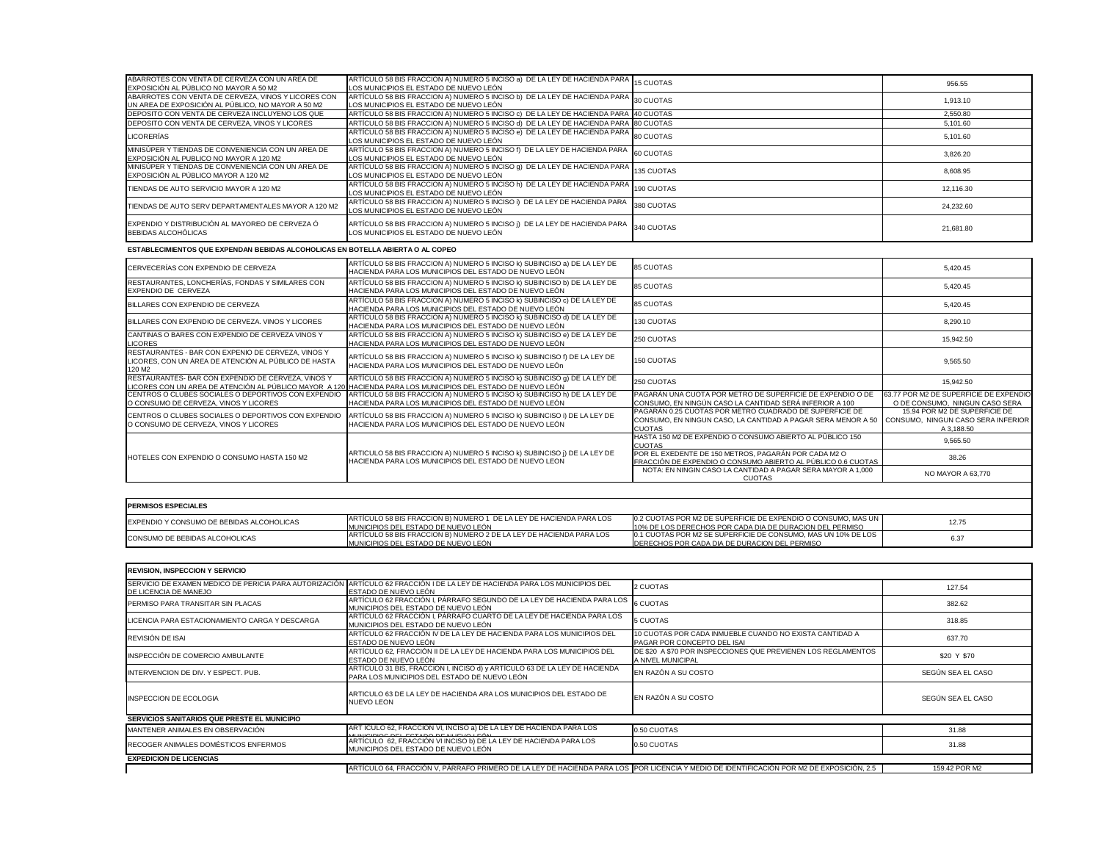| ABARROTES CON VENTA DE CERVEZA CON UN AREA DE<br>EXPOSICIÓN AL PÚBLICO NO MAYOR A 50 M2                   | ARTÍCULO 58 BIS FRACCION A) NUMERO 5 INCISO a) DE LA LEY DE HACIENDA PARA 15 CUOTAS<br>LOS MUNICIPIOS EL ESTADO DE NUEVO LEÓN  |            | 956.55    |
|-----------------------------------------------------------------------------------------------------------|--------------------------------------------------------------------------------------------------------------------------------|------------|-----------|
| ABARROTES CON VENTA DE CERVEZA, VINOS Y LICORES CON<br>UN AREA DE EXPOSICIÓN AL PÚBLICO, NO MAYOR A 50 M2 | ARTÍCULO 58 BIS FRACCION A) NUMERO 5 INCISO b) DE LA LEY DE HACIENDA PARA 30 CUOTAS<br>LOS MUNICIPIOS EL ESTADO DE NUEVO LEÓN  |            | 1,913.10  |
| DEPOSITO CON VENTA DE CERVEZA INCLUYENO LOS QUE                                                           | ARTÍCULO 58 BIS FRACCION A) NUMERO 5 INCISO c) DE LA LEY DE HACIENDA PARA 40 CUOTAS                                            |            | 2,550.80  |
| DEPOSITO CON VENTA DE CERVEZA, VINOS Y LICORES                                                            | ARTÍCULO 58 BIS FRACCION A) NUMERO 5 INCISO d) DE LA LEY DE HACIENDA PARA 80 CUOTAS                                            |            | 5,101.60  |
| <b>LICORERÍAS</b>                                                                                         | ARTÍCULO 58 BIS FRACCION A) NUMERO 5 INCISO e) DE LA LEY DE HACIENDA PARA 80 CUOTAS<br>LOS MUNICIPIOS EL ESTADO DE NUEVO LEÓN  |            | 5,101.60  |
| MINISÚPER Y TIENDAS DE CONVENIENCIA CON UN AREA DE<br>EXPOSICIÓN AL PUBLICO NO MAYOR A 120 M2             | ARTÍCULO 58 BIS FRACCION A) NUMERO 5 INCISO f) DE LA LEY DE HACIENDA PARA 60 CUOTAS<br>LOS MUNICIPIOS EL ESTADO DE NUEVO LEÓN  |            | 3,826.20  |
| MINISÚPER Y TIENDAS DE CONVENIENCIA CON UN AREA DE<br>EXPOSICIÓN AL PÚBLICO MAYOR A 120 M2                | ARTÍCULO 58 BIS FRACCION A) NUMERO 5 INCISO 9) DE LA LEY DE HACIENDA PARA 135 CUOTAS<br>LOS MUNICIPIOS EL ESTADO DE NUEVO LEÓN |            | 8,608.95  |
| TIENDAS DE AUTO SERVICIO MAYOR A 120 M2                                                                   | ARTÍCULO 58 BIS FRACCION A) NUMERO 5 INCISO h) DE LA LEY DE HACIENDA PARA 190 CUOTAS<br>LOS MUNICIPIOS EL ESTADO DE NUEVO LEÓN |            | 12,116.30 |
| TIENDAS DE AUTO SERV DEPARTAMENTALES MAYOR A 120 M2                                                       | ARTÍCULO 58 BIS FRACCION A) NUMERO 5 INCISO i) DE LA LEY DE HACIENDA PARA<br>LOS MUNICIPIOS EL ESTADO DE NUEVO LEÓN            | 380 CUOTAS | 24,232.60 |
| EXPENDIO Y DISTRIBUCIÓN AL MAYOREO DE CERVEZA Ó<br>BEBIDAS ALCOHÓLICAS                                    | ARTÍCULO 58 BIS FRACCION A) NUMERO 5 INCISO j) DE LA LEY DE HACIENDA PARA 340 CUOTAS<br>LOS MUNICIPIOS EL ESTADO DE NUEVO LEÓN |            | 21,681.80 |

| 85 CUOTAS                                                                                                                         | 5.420.45                                                                          |
|-----------------------------------------------------------------------------------------------------------------------------------|-----------------------------------------------------------------------------------|
| <b>85 CUOTAS</b>                                                                                                                  | 5,420.45                                                                          |
| 85 CUOTAS                                                                                                                         | 5,420.45                                                                          |
| <b>130 CUOTAS</b>                                                                                                                 | 8,290.10                                                                          |
| 250 CUOTAS                                                                                                                        | 15,942.50                                                                         |
| <b>150 CUOTAS</b>                                                                                                                 | 9,565.50                                                                          |
| 250 CUOTAS                                                                                                                        | 15,942.50                                                                         |
| PAGARÁN UNA CUOTA POR METRO DE SUPERFICIE DE EXPENDIO O DE<br>CONSUMO, EN NINGÚN CASO LA CANTIDAD SERÁ INFERIOR A 100             | 63.77 POR M2 DE SUPERFICIE DE EXPENDIO<br>O DE CONSUMO, NINGUN CASO SERA          |
| PAGARÁN 0.25 CUOTAS POR METRO CUADRADO DE SUPERFICIE DE<br>CONSUMO, EN NINGUN CASO, LA CANTIDAD A PAGAR SERA MENOR A 50<br>CUOTAS | 15.94 POR M2 DE SUPERFICIE DE<br>CONSUMO, NINGUN CASO SERA INFERIOR<br>A 3,188.50 |
| HASTA 150 M2 DE EXPENDIO O CONSUMO ABIERTO AL PÚBLICO 150<br><u>CUOTAS</u>                                                        | 9,565.50                                                                          |
| POR EL EXEDENTE DE 150 METROS, PAGARÁN POR CADA M2 O<br><u>FRACCIÓN DE EXPENDIO O CONSUMO ABIERTO AL PÚBLICO 0.6 CUOTAS </u>      | 38.26                                                                             |
| NOTA: EN NINGIN CASO LA CANTIDAD A PAGAR SERA MAYOR A 1,000<br><b>CUOTAS</b>                                                      | NO MAYOR A 63,770                                                                 |
|                                                                                                                                   |                                                                                   |
|                                                                                                                                   |                                                                                   |
| 0.2 CUOTAS POR M2 DE SUPERFICIE DE EXPENDIO O CONSUMO, MAS UN<br>10% DE LOS DERECHOS POR CADA DIA DE DURACION DEL PERMISO         | 12.75                                                                             |
| 0.1 CUOTAS POR M2 SE SUPERFICIE DE CONSUMO, MAS UN 10% DE LOS<br>DERECHOS POR CADA DIA DE DURACION DEL PERMISO                    | 6.37                                                                              |

| CERVECERÍAS CON EXPENDIO DE CERVEZA                                                                                              | ARTÍCULO 58 BIS FRACCION A) NUMERO 5 INCISO K) SUBINCISO a) DE LA LEY DE<br>HACIENDA PARA LOS MUNICIPIOS DEL ESTADO DE NUEVO LEÓN                                                        | <b>85 CUOTAS</b>                                                                                       |
|----------------------------------------------------------------------------------------------------------------------------------|------------------------------------------------------------------------------------------------------------------------------------------------------------------------------------------|--------------------------------------------------------------------------------------------------------|
| RESTAURANTES, LONCHERÍAS, FONDAS Y SIMILARES CON<br>EXPENDIO DE CERVEZA                                                          | ARTÍCULO 58 BIS FRACCION A) NUMERO 5 INCISO k) SUBINCISO b) DE LA LEY DE<br>HACIENDA PARA LOS MUNICIPIOS DEL ESTADO DE NUEVO LEÓN                                                        | 85 CUOTAS                                                                                              |
| BILLARES CON EXPENDIO DE CERVEZA                                                                                                 | ARTÍCULO 58 BIS FRACCION A) NUMERO 5 INCISO K) SUBINCISO c) DE LA LEY DE<br>HACIENDA PARA LOS MUNICIPIOS DEL ESTADO DE NUEVO LEÓN                                                        | 85 CUOTAS                                                                                              |
| BILLARES CON EXPENDIO DE CERVEZA. VINOS Y LICORES                                                                                | ARTÍCULO 58 BIS FRACCION A) NUMERO 5 INCISO k) SUBINCISO d) DE LA LEY DE<br>HACIENDA PARA LOS MUNICIPIOS DEL ESTADO DE NUEVO LEÓN                                                        | 130 CUOTAS                                                                                             |
| CANTINAS O BARES CON EXPENDIO DE CERVEZA VINOS Y<br><b>LICORES</b>                                                               | ARTÍCULO 58 BIS FRACCION A) NUMERO 5 INCISO k) SUBINCISO e) DE LA LEY DE<br>HACIENDA PARA LOS MUNICIPIOS DEL ESTADO DE NUEVO LEÓN                                                        | 250 CUOTAS                                                                                             |
| RESTAURANTES - BAR CON EXPENIO DE CERVEZA, VINOS Y<br>LICORES, CON UN ÁREA DE ATENCIÓN AL PÚBLICO DE HASTA<br>120 M <sub>2</sub> | ARTÍCULO 58 BIS FRACCION A) NUMERO 5 INCISO k) SUBINCISO f) DE LA LEY DE<br>HACIENDA PARA LOS MUNICIPIOS DEL ESTADO DE NUEVO LEÓn                                                        | 150 CUOTAS                                                                                             |
| RESTAURANTES- BAR CON EXPENDIO DE CERVEZA, VINOS Y                                                                               | ARTÍCULO 58 BIS FRACCION A) NUMERO 5 INCISO k) SUBINCISO 9) DE LA LEY DE<br>LICORES CON UN AREA DE ATENCIÓN AL PÚBLICO MAYOR A 120 HACIENDA PARA LOS MUNICIPIOS DEL ESTADO DE NUEVO LEÓN | 250 CUOTAS                                                                                             |
| CENTROS O CLUBES SOCIALES O DEPORTIVOS CON EXPENDIO<br>O CONSUMO DE CERVEZA, VINOS Y LICORES                                     | ARTÍCULO 58 BIS FRACCION A) NUMERO 5 INCISO K) SUBINCISO h) DE LA LEY DE<br>HACIENDA PARA LOS MUNICIPIOS DEL ESTADO DE NUEVO LEÓN                                                        | PAGARÁN UNA<br>CONSUMO, EN N                                                                           |
| CENTROS O CLUBES SOCIALES O DEPORTIVOS CON EXPENDIO<br>O CONSUMO DE CERVEZA, VINOS Y LICORES                                     | ARTÍCULO 58 BIS FRACCION A) NUMERO 5 INCISO k) SUBINCISO i) DE LA LEY DE<br>HACIENDA PARA LOS MUNICIPIOS DEL ESTADO DE NUEVO LEÓN                                                        | PAGARÁN 0.25 0<br>CONSUMO, EN N<br><b>CUOTAS</b>                                                       |
| HOTELES CON EXPENDIO O CONSUMO HASTA 150 M2                                                                                      | ARTICULO 58 BIS FRACCION A) NUMERO 5 INCISO k) SUBINCISO j) DE LA LEY DE<br>HACIENDA PARA LOS MUNICIPIOS DEL ESTADO DE NUEVO LEON                                                        | <b>HASTA 150 M2 D</b><br><b>CUOTAS</b><br>POR EL EXEDEN<br><u>FRACCIÓN DE E</u><br><b>NOTA: EN NIN</b> |

| <b>IPERMISOS ESPECIALES</b>                       |                                                                                                               |                                                 |
|---------------------------------------------------|---------------------------------------------------------------------------------------------------------------|-------------------------------------------------|
| <b>IEXPENDIO Y CONSUMO DE BEBIDAS ALCOHOLICAS</b> | ARTICULO 58 BIS FRACCION B) NUMERO 1 DE LA LEY DE HACIENDA PARA LOS<br>IMUNICIPIOS DEL ESTADO DE NUEVO LEÓN   | <b>10.2 CUOTAS POR</b><br><b>10% DE LOS DEF</b> |
| <b>ICONSUMO DE BEBIDAS ALCOHOLICAS</b>            | JARTICULO 58 BIS FRACCION B) NUMERO 2 DE LA LEY DE HACIENDA PARA LOS<br>IMUNICIPIOS DEL ESTADO DE NUEVO LEÓN. | <b>I</b> 0.1 CUOTAS POF<br><b>IDERECHOS POR</b> |

| <b>REVISION, INSPECCION Y SERVICIO</b>         |                                                                                                                                                     |                                              |
|------------------------------------------------|-----------------------------------------------------------------------------------------------------------------------------------------------------|----------------------------------------------|
| DE LICENCIA DE MANEJO                          | SERVICIO DE EXAMEN MEDICO DE PERICIA PARA AUTORIZACIÓN ARTÍCULO 62 FRACCIÓN I DE LA LEY DE HACIENDA PARA LOS MUNICIPIOS DEL<br>ESTADO DE NUEVO LEÓN | 2 CUOTAS                                     |
| PERMISO PARA TRANSITAR SIN PLACAS              | ARTÍCULO 62 FRACCIÓN I, PÁRRAFO SEGUNDO DE LA LEY DE HACIENDA PARA LOS<br>MUNICIPIOS DEL ESTADO DE NUEVO LEÓN                                       | <b>6 CUOTAS</b>                              |
| LICENCIA PARA ESTACIONAMIENTO CARGA Y DESCARGA | ARTÍCULO 62 FRACCIÓN I, PÁRRAFO CUARTO DE LA LEY DE HACIENDA PARA LOS<br>MUNICIPIOS DEL ESTADO DE NUEVO LEÓN                                        | 5 CUOTAS                                     |
| REVISIÓN DE ISAI                               | ARTÍCULO 62 FRACCIÓN IV DE LA LEY DE HACIENDA PARA LOS MUNICIPIOS DEL<br>ESTADO DE NUEVO LEÓN                                                       | 10 CUOTAS POR CADA I<br>PAGAR POR CONCEPTO   |
| INSPECCIÓN DE COMERCIO AMBULANTE               | ARTÍCULO 62, FRACCIÓN II DE LA LEY DE HACIENDA PARA LOS MUNICIPIOS DEL<br>ESTADO DE NUEVO LEÓN                                                      | DE \$20 A \$70 POR INSP<br>A NIVEL MUNICIPAL |
| INTERVENCION DE DIV. Y ESPECT. PUB.            | ARTÍCULO 31 BIS, FRACCION I, INCISO d) y ARTÍCULO 63 DE LA LEY DE HACIENDA<br>PARA LOS MUNICIPIOS DEL ESTADO DE NUEVO LEÓN                          | EN RAZÓN A SU COSTO                          |
| <b>INSPECCION DE ECOLOGIA</b>                  | ARTICULO 63 DE LA LEY DE HACIENDA ARA LOS MUNICIPIOS DEL ESTADO DE<br>NUEVO LEON                                                                    | EN RAZÓN A SU COSTO                          |
| SERVICIOS SANITARIOS QUE PRESTE EL MUNICIPIO   |                                                                                                                                                     |                                              |
| MANTENER ANIMALES EN OBSERVACIÓN               | ART ÍCULO 62, FRACCIÓN VI, INCISO a) DE LA LEY DE HACIENDA PARA LOS                                                                                 | 0.50 CUOTAS                                  |
| RECOGER ANIMALES DOMÉSTICOS ENFERMOS           | ARTÍCULO 62, FRACCIÓN VI INCISO D) DE LA LEY DE HACIENDA PARA LOS<br>MUNICIPIOS DEL ESTADO DE NUEVO LEÓN                                            | 0.50 CUOTAS                                  |
| <b>EXPEDICION DE LICENCIAS</b>                 |                                                                                                                                                     |                                              |
|                                                | ARTÍCULO 64, FRACCIÓN V, PÁRRAFO PRIMERO DE LA LEY DE HACIENDA PARA LOS POR LICENCIA Y MEDIO                                                        |                                              |

| 2 CUOTAS                                                                               | 127.54            |
|----------------------------------------------------------------------------------------|-------------------|
| 6 CUOTAS                                                                               | 382.62            |
| 5 CUOTAS                                                                               | 318.85            |
| 10 CUOTAS POR CADA INMUEBLE CUANDO NO EXISTA CANTIDAD A<br>PAGAR POR CONCEPTO DEL ISAI | 637.70            |
| DE \$20 A \$70 POR INSPECCIONES QUE PREVIENEN LOS REGLAMENTOS<br>A NIVEL MUNICIPAL     | \$20 Y \$70       |
| EN RAZÓN A SU COSTO                                                                    | SEGÚN SEA EL CASO |
| EN RAZÓN A SU COSTO                                                                    | SEGÚN SEA EL CASO |
|                                                                                        |                   |
| 0.50 CUOTAS                                                                            | 31.88             |
| 0.50 CUOTAS                                                                            | 31.88             |
|                                                                                        |                   |
| POR LICENCIA Y MEDIO DE IDENTIFICACIÓN POR M2 DE EXPOSICIÓN, 2.5                       | 159.42 POR M2     |

**ESTABLECIMIENTOS QUE EXPENDAN BEBIDAS ALCOHOLICAS EN BOTELLA ABIERTA O AL COPEO**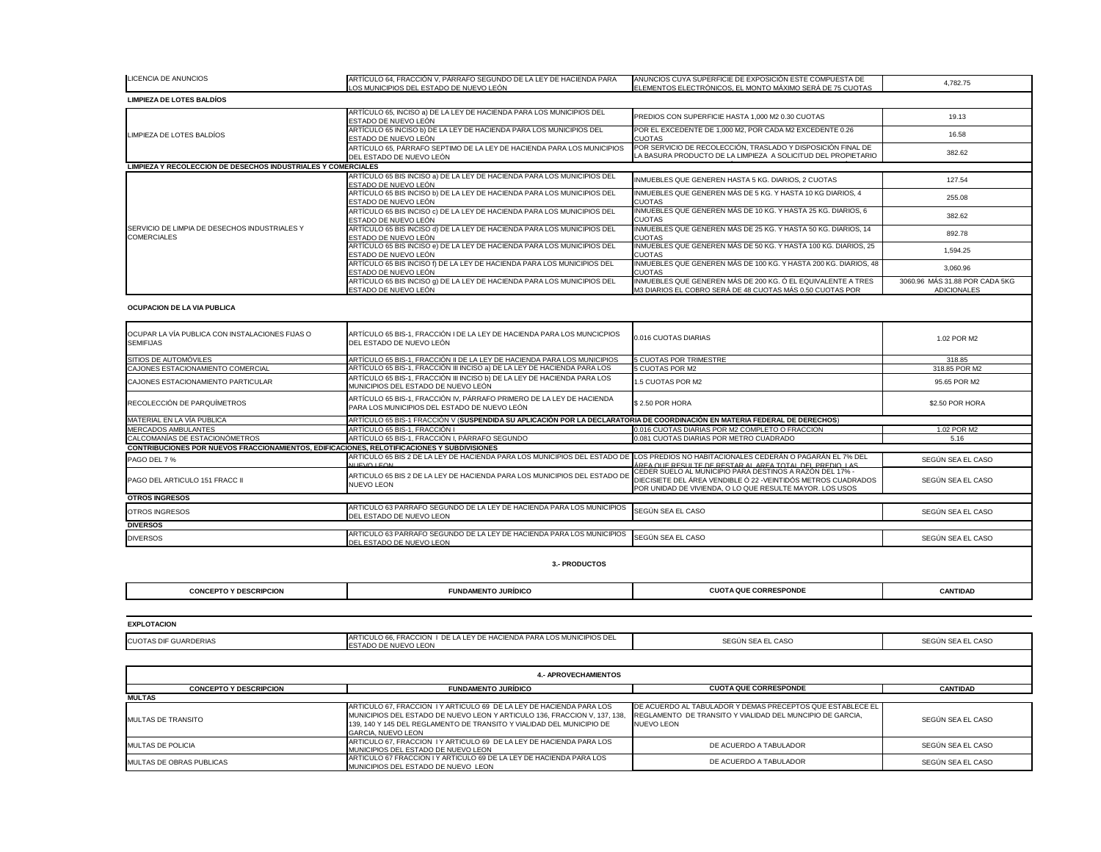| <b>LICENCIA DE ANUNCIOS</b>                                                                        | ARTÍCULO 64, FRACCIÓN V, PÁRRAFO SEGUNDO DE LA LEY DE HACIENDA PARA<br><u>OS MUNICIPIOS DEL ESTADO DE NUEVO LEÓN</u>                                                                                                                                    | ANUNCIOS CUYA SUPERFICIE DE EXPOSICIÓN ESTE COMPUESTA DE<br>ELEMENTOS ELECTRÓNICOS, EL MONTO MÁXIMO SERÁ DE 75 CUOTAS                                                                  | 4,782.75                                             |
|----------------------------------------------------------------------------------------------------|---------------------------------------------------------------------------------------------------------------------------------------------------------------------------------------------------------------------------------------------------------|----------------------------------------------------------------------------------------------------------------------------------------------------------------------------------------|------------------------------------------------------|
| <b>LIMPIEZA DE LOTES BALDÍOS</b>                                                                   |                                                                                                                                                                                                                                                         |                                                                                                                                                                                        |                                                      |
|                                                                                                    | ARTÍCULO 65, INCISO a) DE LA LEY DE HACIENDA PARA LOS MUNICIPIOS DEL<br>ESTADO DE NUEVO LEÓN                                                                                                                                                            | PREDIOS CON SUPERFICIE HASTA 1,000 M2 0.30 CUOTAS                                                                                                                                      | 19.13                                                |
| LIMPIEZA DE LOTES BALDÍOS                                                                          | ARTÍCULO 65 INCISO b) DE LA LEY DE HACIENDA PARA LOS MUNICIPIOS DEL<br>ESTADO DE NUEVO LEÓN                                                                                                                                                             | POR EL EXCEDENTE DE 1,000 M2, POR CADA M2 EXCEDENTE 0.26<br><b>CUOTAS</b>                                                                                                              | 16.58                                                |
|                                                                                                    | ARTÍCULO 65, PÁRRAFO SEPTIMO DE LA LEY DE HACIENDA PARA LOS MUNICIPIOS<br>DEL ESTADO DE NUEVO LEÓN                                                                                                                                                      | POR SERVICIO DE RECOLECCIÓN, TRASLADO Y DISPOSICIÓN FINAL DE<br>LA BASURA PRODUCTO DE LA LIMPIEZA A SOLICITUD DEL PROPIETARIO                                                          | 382.62                                               |
| <b>LIMPIEZA Y RECOLECCION DE DESECHOS INDUSTRIALES Y COMERCIALES</b>                               |                                                                                                                                                                                                                                                         |                                                                                                                                                                                        |                                                      |
|                                                                                                    | ARTÍCULO 65 BIS INCISO a) DE LA LEY DE HACIENDA PARA LOS MUNICIPIOS DEL<br>ESTADO DE NUEVO LEÓN                                                                                                                                                         | INMUEBLES QUE GENEREN HASTA 5 KG. DIARIOS, 2 CUOTAS                                                                                                                                    | 127.54                                               |
|                                                                                                    | ARTÍCULO 65 BIS INCISO b) DE LA LEY DE HACIENDA PARA LOS MUNICIPIOS DEL<br>ESTADO DE NUEVO LEÓN                                                                                                                                                         | INMUEBLES QUE GENEREN MÁS DE 5 KG. Y HASTA 10 KG DIARIOS, 4<br><b>CUOTAS</b>                                                                                                           | 255.08                                               |
|                                                                                                    | ARTÍCULO 65 BIS INCISO c) DE LA LEY DE HACIENDA PARA LOS MUNICIPIOS DEL<br>ESTADO DE NUEVO LEÓN                                                                                                                                                         | INMUEBLES QUE GENEREN MÁS DE 10 KG. Y HASTA 25 KG. DIARIOS, 6<br><b>CUOTAS</b>                                                                                                         | 382.62                                               |
| SERVICIO DE LIMPIA DE DESECHOS INDUSTRIALES Y<br><b>COMERCIALES</b>                                | ARTÍCULO 65 BIS INCISO d) DE LA LEY DE HACIENDA PARA LOS MUNICIPIOS DEL<br>ESTADO DE NUEVO LEÓN                                                                                                                                                         | INMUEBLES QUE GENEREN MÁS DE 25 KG. Y HASTA 50 KG. DIARIOS, 14<br><b>CUOTAS</b>                                                                                                        | 892.78                                               |
|                                                                                                    | ARTÍCULO 65 BIS INCISO e) DE LA LEY DE HACIENDA PARA LOS MUNICIPIOS DEL<br>ESTADO DE NUEVO LEÓN                                                                                                                                                         | INMUEBLES QUE GENEREN MÁS DE 50 KG. Y HASTA 100 KG. DIARIOS, 25<br><b>CUOTAS</b>                                                                                                       | 1,594.25                                             |
|                                                                                                    | ARTÍCULO 65 BIS INCISO f) DE LA LEY DE HACIENDA PARA LOS MUNICIPIOS DEL<br>ESTADO DE NUEVO LEÓN                                                                                                                                                         | INMUEBLES QUE GENEREN MÁS DE 100 KG. Y HASTA 200 KG. DIARIOS, 48<br><b>CUOTAS</b>                                                                                                      | 3,060.96                                             |
|                                                                                                    | ARTÍCULO 65 BIS INCISO 9) DE LA LEY DE HACIENDA PARA LOS MUNICIPIOS DEL<br>ESTADO DE NUEVO LEÓN                                                                                                                                                         | INMUEBLES QUE GENEREN MÁS DE 200 KG. Ó EL EQUIVALENTE A TRES<br>M3 DIARIOS EL COBRO SERÁ DE 48 CUOTAS MÁS 0.50 CUOTAS POR                                                              | 3060.96 MÁS 31.88 POR CADA 5KG<br><b>ADICIONALES</b> |
| <b>OCUPACION DE LA VIA PUBLICA</b>                                                                 |                                                                                                                                                                                                                                                         |                                                                                                                                                                                        |                                                      |
| OCUPAR LA VÍA PUBLICA CON INSTALACIONES FIJAS O<br><b>SEMIFIJAS</b>                                | ARTÍCULO 65 BIS-1, FRACCIÓN I DE LA LEY DE HACIENDA PARA LOS MUNCICPIOS<br>DEL ESTADO DE NUEVO LEÓN                                                                                                                                                     | 0.016 CUOTAS DIARIAS                                                                                                                                                                   | 1.02 POR M2                                          |
| SITIOS DE AUTOMÓVILES                                                                              | ARTÍCULO 65 BIS-1, FRACCIÓN II DE LA LEY DE HACIENDA PARA LOS MUNICIPIOS                                                                                                                                                                                | 5 CUOTAS POR TRIMESTRE                                                                                                                                                                 | 318.85                                               |
| CAJONES ESTACIONAMIENTO COMERCIAL                                                                  | ARTÍCULO 65 BIS-1, FRACCIÓN III INCISO a) DE LA LEY DE HACIENDA PARA LOS                                                                                                                                                                                | 5 CUOTAS POR M2                                                                                                                                                                        | 318.85 POR M2                                        |
| CAJONES ESTACIONAMIENTO PARTICULAR                                                                 | ARTÍCULO 65 BIS-1, FRACCIÓN III INCISO b) DE LA LEY DE HACIENDA PARA LOS<br>MUNICIPIOS DEL ESTADO DE NUEVO LEÓN                                                                                                                                         | 1.5 CUOTAS POR M2                                                                                                                                                                      | 95.65 POR M2                                         |
| RECOLECCIÓN DE PARQUÍMETROS                                                                        | ARTÍCULO 65 BIS-1, FRACCIÓN IV, PÁRRAFO PRIMERO DE LA LEY DE HACIENDA<br>PARA LOS MUNICIPIOS DEL ESTADO DE NUEVO LEÓN                                                                                                                                   | \$2.50 POR HORA                                                                                                                                                                        | \$2.50 POR HORA                                      |
| MATERIAL EN LA VÍA PUBLICA                                                                         | ARTÍCULO 65 BIS-1 FRACCIÓN V (SUSPENDIDA SU APLICACIÓN POR LA DECLARATORIA DE COORDINACIÓN EN MATERIA FEDERAL DE DERECHOS)                                                                                                                              |                                                                                                                                                                                        |                                                      |
| MERCADOS AMBULANTES                                                                                | ARTÍCULO 65 BIS-1, FRACCIÓN I                                                                                                                                                                                                                           | 0.016 CUOTAS DIARIAS POR M2 COMPLETO O FRACCION                                                                                                                                        | 1.02 POR M2                                          |
| CALCOMANÍAS DE ESTACIONÓMETROS                                                                     | ARTÍCULO 65 BIS-1, FRACCIÓN I, PÁRRAFO SEGUNDO                                                                                                                                                                                                          | 0.081 CUOTAS DIARIAS POR METRO CUADRADO                                                                                                                                                | 5.16                                                 |
| <b>CONTRIBUCIONES POR NUEVOS FRACCIONAMIENTOS, EDIFICACIONES, RELOTIFICACIONES Y SUBDIVISIONES</b> |                                                                                                                                                                                                                                                         |                                                                                                                                                                                        |                                                      |
| PAGO DEL 7 %                                                                                       | ARTICULO 65 BIS 2 DE LA LEY DE HACIENDA PARA LOS MUNICIPIOS DEL ESTADO DE LOS PREDIOS NO HABITACIONALES CEDERÁN O PAGARÁN EL 7% DEL                                                                                                                     |                                                                                                                                                                                        | SEGÚN SEA EL CASO                                    |
|                                                                                                    | <b>WILLEVOLL EQN</b>                                                                                                                                                                                                                                    | <u>ÁREA OIJE RESIJITE DE RESTAR AL AREA TOTAL DEL PREDIO LAS.</u>                                                                                                                      |                                                      |
| <b>PAGO DEL ARTICULO 151 FRACC II</b>                                                              | ARTICULO 65 BIS 2 DE LA LEY DE HACIENDA PARA LOS MUNICIPIOS DEL ESTADO DE<br><b>NUEVO LEON</b>                                                                                                                                                          | CEDER SUELO AL MUNICIPIO PARA DESTINOS A RAZÓN DEL 17% -<br>DIECISIETE DEL ÁREA VENDIBLE Ó 22 - VEINTIDÓS METROS CUADRADOS<br>POR UNIDAD DE VIVIENDA, O LO QUE RESULTE MAYOR. LOS USOS | SEGÚN SEA EL CASO                                    |
| <b>OTROS INGRESOS</b>                                                                              |                                                                                                                                                                                                                                                         |                                                                                                                                                                                        |                                                      |
| <b>OTROS INGRESOS</b>                                                                              | ARTICULO 63 PARRAFO SEGUNDO DE LA LEY DE HACIENDA PARA LOS MUNICIPIOS<br>DEL ESTADO DE NUEVO LEON                                                                                                                                                       | SEGÚN SEA EL CASO                                                                                                                                                                      | SEGÚN SEA EL CASO                                    |
| <b>DIVERSOS</b>                                                                                    |                                                                                                                                                                                                                                                         |                                                                                                                                                                                        |                                                      |
| <b>DIVERSOS</b>                                                                                    | ARTICULO 63 PARRAFO SEGUNDO DE LA LEY DE HACIENDA PARA LOS MUNICIPIOS<br>DEL ESTADO DE NUEVO LEON                                                                                                                                                       | SEGÚN SEA EL CASO                                                                                                                                                                      | SEGÚN SEA EL CASO                                    |
|                                                                                                    | <b>3.- PRODUCTOS</b>                                                                                                                                                                                                                                    |                                                                                                                                                                                        |                                                      |
| <b>CONCEPTO Y DESCRIPCION</b>                                                                      | <b>FUNDAMENTO JURÍDICO</b>                                                                                                                                                                                                                              | <b>CUOTA QUE CORRESPONDE</b>                                                                                                                                                           | <b>CANTIDAD</b>                                      |
|                                                                                                    |                                                                                                                                                                                                                                                         |                                                                                                                                                                                        |                                                      |
| <b>EXPLOTACION</b>                                                                                 |                                                                                                                                                                                                                                                         |                                                                                                                                                                                        |                                                      |
| <b>CUOTAS DIF GUARDERIAS</b>                                                                       | ARTICULO 66, FRACCION I DE LA LEY DE HACIENDA PARA LOS MUNICIPIOS DEL<br><u>ESTADO DE NUEVO LEON</u>                                                                                                                                                    | SEGÚN SEA EL CASO                                                                                                                                                                      | SEGÚN SEA EL CASO                                    |
|                                                                                                    |                                                                                                                                                                                                                                                         |                                                                                                                                                                                        |                                                      |
|                                                                                                    | <b>4.- APROVECHAMIENTOS</b>                                                                                                                                                                                                                             |                                                                                                                                                                                        |                                                      |
| <b>CONCEPTO Y DESCRIPCION</b>                                                                      | <b>FUNDAMENTO JURÍDICO</b>                                                                                                                                                                                                                              | <b>CUOTA QUE CORRESPONDE</b>                                                                                                                                                           | <b>CANTIDAD</b>                                      |
| <b>MULTAS</b>                                                                                      |                                                                                                                                                                                                                                                         |                                                                                                                                                                                        |                                                      |
| <b>IMULTAS DE TRANSITO</b>                                                                         | ARTICULO 67, FRACCION I Y ARTICULO 69 DE LA LEY DE HACIENDA PARA LOS<br>MUNICIPIOS DEL ESTADO DE NUEVO LEON Y ARTICULO 136, FRACCION V, 137, 138,<br>139, 140 Y 145 DEL REGLAMENTO DE TRANSITO Y VIALIDAD DEL MUNICIPIO DE<br><b>GARCIA, NUEVO LEON</b> | DE ACUERDO AL TABULADOR Y DEMAS PRECEPTOS QUE ESTABLECE EL<br>REGLAMENTO DE TRANSITO Y VIALIDAD DEL MUNCIPIO DE GARCIA.<br>NUEVO LEON                                                  | SEGÚN SEA EL CASO                                    |

| <b>LICENCIA DE ANUNCIOS</b>                                                                        | ARTÍCULO 64, FRACCIÓN V, PÁRRAFO SEGUNDO DE LA LEY DE HACIENDA PARA<br><u>OS MUNICIPIOS DEL ESTADO DE NUEVO LEÓN</u>                                                                                                                                    | ANUNCIOS CUYA SUPERFICIE DE EXPOSICIÓN ESTE COMPUESTA DE<br>ELEMENTOS ELECTRÓNICOS, EL MONTO MÁXIMO SERÁ DE 75 CUOTAS                                                                                                                              | 4,782.75                                             |
|----------------------------------------------------------------------------------------------------|---------------------------------------------------------------------------------------------------------------------------------------------------------------------------------------------------------------------------------------------------------|----------------------------------------------------------------------------------------------------------------------------------------------------------------------------------------------------------------------------------------------------|------------------------------------------------------|
| <b>LIMPIEZA DE LOTES BALDÍOS</b>                                                                   |                                                                                                                                                                                                                                                         |                                                                                                                                                                                                                                                    |                                                      |
|                                                                                                    | ARTÍCULO 65, INCISO a) DE LA LEY DE HACIENDA PARA LOS MUNICIPIOS DEL<br>ESTADO DE NUEVO LEÓN                                                                                                                                                            | PREDIOS CON SUPERFICIE HASTA 1,000 M2 0.30 CUOTAS                                                                                                                                                                                                  | 19.13                                                |
| LIMPIEZA DE LOTES BALDÍOS                                                                          | ARTÍCULO 65 INCISO b) DE LA LEY DE HACIENDA PARA LOS MUNICIPIOS DEL<br>ESTADO DE NUEVO LEÓN                                                                                                                                                             | POR EL EXCEDENTE DE 1,000 M2, POR CADA M2 EXCEDENTE 0.26<br><b>CUOTAS</b>                                                                                                                                                                          | 16.58                                                |
|                                                                                                    | ARTÍCULO 65, PÁRRAFO SEPTIMO DE LA LEY DE HACIENDA PARA LOS MUNICIPIOS<br>DEL ESTADO DE NUEVO LEÓN                                                                                                                                                      | POR SERVICIO DE RECOLECCIÓN, TRASLADO Y DISPOSICIÓN FINAL DE<br>LA BASURA PRODUCTO DE LA LIMPIEZA A SOLICITUD DEL PROPIETARIO                                                                                                                      | 382.62                                               |
| <b>LIMPIEZA Y RECOLECCION DE DESECHOS INDUSTRIALES Y COMERCIALES</b>                               |                                                                                                                                                                                                                                                         |                                                                                                                                                                                                                                                    |                                                      |
|                                                                                                    | ARTÍCULO 65 BIS INCISO a) DE LA LEY DE HACIENDA PARA LOS MUNICIPIOS DEL<br><u>ESTADO DE NUEVO LEÓN</u>                                                                                                                                                  | INMUEBLES QUE GENEREN HASTA 5 KG. DIARIOS, 2 CUOTAS                                                                                                                                                                                                | 127.54                                               |
|                                                                                                    | ARTÍCULO 65 BIS INCISO b) DE LA LEY DE HACIENDA PARA LOS MUNICIPIOS DEL<br>ESTADO DE NUEVO LEÓN                                                                                                                                                         | INMUEBLES QUE GENEREN MÁS DE 5 KG. Y HASTA 10 KG DIARIOS, 4<br><b>CUOTAS</b>                                                                                                                                                                       | 255.08                                               |
|                                                                                                    | ARTÍCULO 65 BIS INCISO c) DE LA LEY DE HACIENDA PARA LOS MUNICIPIOS DEL<br>ESTADO DE NUEVO LEÓN                                                                                                                                                         | INMUEBLES QUE GENEREN MÁS DE 10 KG. Y HASTA 25 KG. DIARIOS, 6<br><b>CUOTAS</b>                                                                                                                                                                     | 382.62                                               |
| SERVICIO DE LIMPIA DE DESECHOS INDUSTRIALES Y<br><b>COMERCIALES</b>                                | ARTÍCULO 65 BIS INCISO d) DE LA LEY DE HACIENDA PARA LOS MUNICIPIOS DEL<br>ESTADO DE NUEVO LEÓN                                                                                                                                                         | INMUEBLES QUE GENEREN MÁS DE 25 KG. Y HASTA 50 KG. DIARIOS, 14<br><b>CUOTAS</b>                                                                                                                                                                    | 892.78                                               |
|                                                                                                    | ARTÍCULO 65 BIS INCISO e) DE LA LEY DE HACIENDA PARA LOS MUNICIPIOS DEL<br>ESTADO DE NUEVO LEÓN                                                                                                                                                         | INMUEBLES QUE GENEREN MÁS DE 50 KG. Y HASTA 100 KG. DIARIOS, 25<br><b>CUOTAS</b>                                                                                                                                                                   | 1,594.25                                             |
|                                                                                                    | ARTÍCULO 65 BIS INCISO f) DE LA LEY DE HACIENDA PARA LOS MUNICIPIOS DEL<br>ESTADO DE NUEVO LEÓN                                                                                                                                                         | INMUEBLES QUE GENEREN MÁS DE 100 KG. Y HASTA 200 KG. DIARIOS, 48<br><b>CUOTAS</b>                                                                                                                                                                  | 3,060.96                                             |
|                                                                                                    | ARTÍCULO 65 BIS INCISO g) DE LA LEY DE HACIENDA PARA LOS MUNICIPIOS DEL<br>ESTADO DE NUEVO LEÓN                                                                                                                                                         | INMUEBLES QUE GENEREN MÁS DE 200 KG. Ó EL EQUIVALENTE A TRES<br>M3 DIARIOS EL COBRO SERÁ DE 48 CUOTAS MÁS 0.50 CUOTAS POR                                                                                                                          | 3060.96 MÁS 31.88 POR CADA 5KG<br><b>ADICIONALES</b> |
| <b>OCUPACION DE LA VIA PUBLICA</b>                                                                 |                                                                                                                                                                                                                                                         |                                                                                                                                                                                                                                                    |                                                      |
| OCUPAR LA VÍA PUBLICA CON INSTALACIONES FIJAS O<br><b>SEMIFIJAS</b>                                | ARTÍCULO 65 BIS-1, FRACCIÓN I DE LA LEY DE HACIENDA PARA LOS MUNCICPIOS<br>DEL ESTADO DE NUEVO LEÓN                                                                                                                                                     | 0.016 CUOTAS DIARIAS                                                                                                                                                                                                                               | 1.02 POR M2                                          |
| SITIOS DE AUTOMÓVILES                                                                              | ARTÍCULO 65 BIS-1, FRACCIÓN II DE LA LEY DE HACIENDA PARA LOS MUNICIPIOS                                                                                                                                                                                | 5 CUOTAS POR TRIMESTRE                                                                                                                                                                                                                             | 318.85                                               |
| CAJONES ESTACIONAMIENTO COMERCIAL                                                                  | ARTÍCULO 65 BIS-1, FRACCIÓN III INCISO a) DE LA LEY DE HACIENDA PARA LOS                                                                                                                                                                                | 5 CUOTAS POR M2                                                                                                                                                                                                                                    | 318.85 POR M2                                        |
| CAJONES ESTACIONAMIENTO PARTICULAR                                                                 | ARTÍCULO 65 BIS-1, FRACCIÓN III INCISO b) DE LA LEY DE HACIENDA PARA LOS<br>MUNICIPIOS DEL ESTADO DE NUEVO LEÓN                                                                                                                                         | 1.5 CUOTAS POR M2                                                                                                                                                                                                                                  | 95.65 POR M2                                         |
| RECOLECCIÓN DE PARQUÍMETROS                                                                        | ARTÍCULO 65 BIS-1, FRACCIÓN IV, PÁRRAFO PRIMERO DE LA LEY DE HACIENDA<br>PARA LOS MUNICIPIOS DEL ESTADO DE NUEVO LEÓN                                                                                                                                   | \$2.50 POR HORA                                                                                                                                                                                                                                    | \$2.50 POR HORA                                      |
| MATERIAL EN LA VÍA PUBLICA                                                                         | ARTICULO 65 BIS-1 FRACCION V ( <b>SUSPENDIDA SU APLICACION POR LA DECLARATORIA DE COORDINACION EN MATERIA FEDERAL DE DERECHOS</b> )                                                                                                                     |                                                                                                                                                                                                                                                    |                                                      |
| MERCADOS AMBULANTES                                                                                | ARTÍCULO 65 BIS-1, FRACCIÓN I                                                                                                                                                                                                                           | 0.016 CUOTAS DIARIAS POR M2 COMPLETO O FRACCION                                                                                                                                                                                                    | 1.02 POR M2                                          |
| CALCOMANÍAS DE ESTACIONÓMETROS                                                                     | ARTÍCULO 65 BIS-1, FRACCIÓN I, PÁRRAFO SEGUNDO                                                                                                                                                                                                          | 0.081 CUOTAS DIARIAS POR METRO CUADRADO                                                                                                                                                                                                            | 5.16                                                 |
| <b>CONTRIBUCIONES POR NUEVOS FRACCIONAMIENTOS, EDIFICACIONES, RELOTIFICACIONES Y SUBDIVISIONES</b> |                                                                                                                                                                                                                                                         |                                                                                                                                                                                                                                                    |                                                      |
| PAGO DEL 7 %                                                                                       | ARTICULO 65 BIS 2 DE LA LEY DE HACIENDA PARA LOS MUNICIPIOS DEL ESTADO DE LOS PREDIOS NO HABITACIONALES CEDERÁN O PAGARÁN EL 7% DEL<br><b>NIJEVO LEON</b>                                                                                               |                                                                                                                                                                                                                                                    | SEGÚN SEA EL CASO                                    |
| PAGO DEL ARTICULO 151 FRACC II                                                                     | ARTICULO 65 BIS 2 DE LA LEY DE HACIENDA PARA LOS MUNICIPIOS DEL ESTADO DE<br>NUEVO LEON                                                                                                                                                                 | ÁREA OUE RESULTE DE RESTAR AL AREA TOTAL DEL PREDIO LAS.<br>CEDER SUELO AL MUNICIPIO PARA DESTINOS A RAZÓN DEL 17% -<br>DIECISIETE DEL ÁREA VENDIBLE Ó 22 - VEINTIDÓS METROS CUADRADOS<br>POR UNIDAD DE VIVIENDA, O LO QUE RESULTE MAYOR. LOS USOS | SEGÚN SEA EL CASO                                    |
| <b>OTROS INGRESOS</b>                                                                              |                                                                                                                                                                                                                                                         |                                                                                                                                                                                                                                                    |                                                      |
| <b>OTROS INGRESOS</b>                                                                              | ARTICULO 63 PARRAFO SEGUNDO DE LA LEY DE HACIENDA PARA LOS MUNICIPIOS<br>DEL ESTADO DE NUEVO LEON                                                                                                                                                       | SEGÚN SEA EL CASO                                                                                                                                                                                                                                  | SEGÚN SEA EL CASO                                    |
| <b>DIVERSOS</b>                                                                                    |                                                                                                                                                                                                                                                         |                                                                                                                                                                                                                                                    |                                                      |
| <b>DIVERSOS</b>                                                                                    | ARTICULO 63 PARRAFO SEGUNDO DE LA LEY DE HACIENDA PARA LOS MUNICIPIOS<br><u>DEL ESTADO DE NUEVO LEON</u>                                                                                                                                                | SEGÚN SEA EL CASO                                                                                                                                                                                                                                  | SEGÚN SEA EL CASO                                    |
|                                                                                                    | <b>3.- PRODUCTOS</b>                                                                                                                                                                                                                                    |                                                                                                                                                                                                                                                    |                                                      |
| <b>CONCEPTO Y DESCRIPCION</b>                                                                      | <b>FUNDAMENTO JURÍDICO</b>                                                                                                                                                                                                                              | <b>CUOTA QUE CORRESPONDE</b>                                                                                                                                                                                                                       | <b>CANTIDAD</b>                                      |
|                                                                                                    |                                                                                                                                                                                                                                                         |                                                                                                                                                                                                                                                    |                                                      |
| <b>EXPLOTACION</b>                                                                                 |                                                                                                                                                                                                                                                         |                                                                                                                                                                                                                                                    |                                                      |
| <b>CUOTAS DIF GUARDERIAS</b>                                                                       | ARTICULO 66, FRACCION I DE LA LEY DE HACIENDA PARA LOS MUNICIPIOS DEL<br><b>ESTADO DE NUEVO LEON</b>                                                                                                                                                    | SEGÚN SEA EL CASO                                                                                                                                                                                                                                  | SEGÚN SEA EL CASO                                    |
|                                                                                                    |                                                                                                                                                                                                                                                         |                                                                                                                                                                                                                                                    |                                                      |
|                                                                                                    | <b>4.- APROVECHAMIENTOS</b>                                                                                                                                                                                                                             |                                                                                                                                                                                                                                                    |                                                      |
| <b>CONCEPTO Y DESCRIPCION</b>                                                                      | <b>FUNDAMENTO JURÍDICO</b>                                                                                                                                                                                                                              | <b>CUOTA QUE CORRESPONDE</b>                                                                                                                                                                                                                       | <b>CANTIDAD</b>                                      |
| <b>MULTAS</b>                                                                                      |                                                                                                                                                                                                                                                         |                                                                                                                                                                                                                                                    |                                                      |
| <b>MULTAS DE TRANSITO</b>                                                                          | ARTICULO 67, FRACCION I Y ARTICULO 69 DE LA LEY DE HACIENDA PARA LOS<br>MUNICIPIOS DEL ESTADO DE NUEVO LEON Y ARTICULO 136, FRACCION V, 137, 138,<br>139, 140 Y 145 DEL REGLAMENTO DE TRANSITO Y VIALIDAD DEL MUNICIPIO DE<br><b>GARCIA, NUEVO LEON</b> | DE ACUERDO AL TABULADOR Y DEMAS PRECEPTOS QUE ESTABLECE EL<br>REGLAMENTO DE TRANSITO Y VIALIDAD DEL MUNCIPIO DE GARCIA,<br><b>NUEVO LEON</b>                                                                                                       | SEGÚN SEA EL CASO                                    |

|                                  | <b>4.- APROVECHAMIENTOS</b>                                               |                      |  |
|----------------------------------|---------------------------------------------------------------------------|----------------------|--|
| <b>CONCEPTO Y DESCRIPCION</b>    | <b>FUNDAMENTO JURIDICO</b>                                                |                      |  |
| <b>MULTAS</b>                    |                                                                           |                      |  |
|                                  | ARTICULO 67, FRACCION I Y ARTICULO 69 DE LA LEY DE HACIENDA PARA LOS      | <b>IDE ACUERDO A</b> |  |
|                                  | MUNICIPIOS DEL ESTADO DE NUEVO LEON Y ARTICULO 136, FRACCION V, 137, 138, | <b>IREGLAMENTO</b>   |  |
| <b>I</b> MULTAS DE TRANSITO      | 139, 140 Y 145 DEL REGLAMENTO DE TRANSITO Y VIALIDAD DEL MUNICIPIO DE     | <b>INUEVO LEON</b>   |  |
|                                  | <b>GARCIA, NUEVO LEON</b>                                                 |                      |  |
| <b>IMULTAS DE POLICIA</b>        | ARTICULO 67. FRACCION I Y ARTICULO 69 DE LA LEY DE HACIENDA PARA LOS      |                      |  |
|                                  | <b>IMUNICIPIOS DEL ESTADO DE NUEVO LEON</b>                               |                      |  |
| <b>IMULTAS DE OBRAS PUBLICAS</b> | ARTICULO 67 FRACCION I Y ARTICULO 69 DE LA LEY DE HACIENDA PARA LOS       |                      |  |
|                                  | IMUNICIPIOS DEL ESTADO DE NUEVO LEON                                      |                      |  |

SEGÚN SEA EL CASO

SEGÚN SEA EL CASO

DE ACUERDO A TABULADOR

DE ACUERDO A TABULADOR

| <b>LICENCIA DE ANUNCIOS</b>                                                                 | ARTÍCULO 64, FRACCIÓN V, PÁRRAFO SEGUNDO DE LA LEY DE HACIENDA PARA<br><u>LOS MUNICIPIOS DEL ESTADO DE NUEVO LEÓN</u>                                                                                                                                   | ANUNCIOS CUYA SUPERFICIE DE EXPOSICIÓN ESTE COMPUESTA DE<br>ELEMENTOS ELECTRÓNICOS, EL MONTO MÁXIMO SERÁ DE 75 CUOTAS                                                                                                                              | 4,782.75                                             |
|---------------------------------------------------------------------------------------------|---------------------------------------------------------------------------------------------------------------------------------------------------------------------------------------------------------------------------------------------------------|----------------------------------------------------------------------------------------------------------------------------------------------------------------------------------------------------------------------------------------------------|------------------------------------------------------|
| <b>LIMPIEZA DE LOTES BALDÍOS</b>                                                            |                                                                                                                                                                                                                                                         |                                                                                                                                                                                                                                                    |                                                      |
|                                                                                             | ARTÍCULO 65, INCISO a) DE LA LEY DE HACIENDA PARA LOS MUNICIPIOS DEL<br>ESTADO DE NUEVO LEÓN                                                                                                                                                            | PREDIOS CON SUPERFICIE HASTA 1,000 M2 0.30 CUOTAS                                                                                                                                                                                                  | 19.13                                                |
| LIMPIEZA DE LOTES BALDÍOS                                                                   | ARTÍCULO 65 INCISO b) DE LA LEY DE HACIENDA PARA LOS MUNICIPIOS DEL<br>ESTADO DE NUEVO LEÓN                                                                                                                                                             | POR EL EXCEDENTE DE 1,000 M2, POR CADA M2 EXCEDENTE 0.26<br><b>CUOTAS</b>                                                                                                                                                                          | 16.58                                                |
|                                                                                             | ARTÍCULO 65, PÁRRAFO SEPTIMO DE LA LEY DE HACIENDA PARA LOS MUNICIPIOS<br>DEL ESTADO DE NUEVO LEÓN                                                                                                                                                      | POR SERVICIO DE RECOLECCIÓN, TRASLADO Y DISPOSICIÓN FINAL DE<br>LA BASURA PRODUCTO DE LA LIMPIEZA A SOLICITUD DEL PROPIETARIO                                                                                                                      | 382.62                                               |
| LIMPIEZA Y RECOLECCION DE DESECHOS INDUSTRIALES Y COMERCIALES                               |                                                                                                                                                                                                                                                         |                                                                                                                                                                                                                                                    |                                                      |
|                                                                                             | ARTÍCULO 65 BIS INCISO a) DE LA LEY DE HACIENDA PARA LOS MUNICIPIOS DEL<br>ESTADO DE NUEVO LEÓN                                                                                                                                                         | INMUEBLES QUE GENEREN HASTA 5 KG. DIARIOS, 2 CUOTAS                                                                                                                                                                                                | 127.54                                               |
|                                                                                             | ARTÍCULO 65 BIS INCISO b) DE LA LEY DE HACIENDA PARA LOS MUNICIPIOS DEL<br>ESTADO DE NUEVO LEÓN                                                                                                                                                         | INMUEBLES QUE GENEREN MÁS DE 5 KG. Y HASTA 10 KG DIARIOS, 4<br><b>CUOTAS</b>                                                                                                                                                                       | 255.08                                               |
| SERVICIO DE LIMPIA DE DESECHOS INDUSTRIALES Y<br><b>COMERCIALES</b>                         | ARTÍCULO 65 BIS INCISO c) DE LA LEY DE HACIENDA PARA LOS MUNICIPIOS DEL<br>ESTADO DE NUEVO LEÓN                                                                                                                                                         | INMUEBLES QUE GENEREN MÁS DE 10 KG. Y HASTA 25 KG. DIARIOS, 6<br><b>CUOTAS</b>                                                                                                                                                                     | 382.62                                               |
|                                                                                             | ARTÍCULO 65 BIS INCISO d) DE LA LEY DE HACIENDA PARA LOS MUNICIPIOS DEL<br>ESTADO DE NUEVO LEÓN                                                                                                                                                         | INMUEBLES QUE GENEREN MÁS DE 25 KG. Y HASTA 50 KG. DIARIOS, 14<br><b>CUOTAS</b>                                                                                                                                                                    | 892.78                                               |
|                                                                                             | ARTÍCULO 65 BIS INCISO e) DE LA LEY DE HACIENDA PARA LOS MUNICIPIOS DEL<br>ESTADO DE NUEVO LEÓN                                                                                                                                                         | INMUEBLES QUE GENEREN MÁS DE 50 KG. Y HASTA 100 KG. DIARIOS, 25<br><b>CUOTAS</b>                                                                                                                                                                   | 1,594.25                                             |
|                                                                                             | ARTÍCULO 65 BIS INCISO f) DE LA LEY DE HACIENDA PARA LOS MUNICIPIOS DEL<br>ESTADO DE NUEVO LEÓN                                                                                                                                                         | INMUEBLES QUE GENEREN MÁS DE 100 KG. Y HASTA 200 KG. DIARIOS, 48<br><b>CUOTAS</b>                                                                                                                                                                  | 3,060.96                                             |
|                                                                                             | ARTÍCULO 65 BIS INCISO 9) DE LA LEY DE HACIENDA PARA LOS MUNICIPIOS DEL<br>ESTADO DE NUEVO LEÓN                                                                                                                                                         | INMUEBLES QUE GENEREN MÁS DE 200 KG. Ó EL EQUIVALENTE A TRES<br>M3 DIARIOS EL COBRO SERÁ DE 48 CUOTAS MÁS 0.50 CUOTAS POR                                                                                                                          | 3060.96 MÁS 31.88 POR CADA 5KG<br><b>ADICIONALES</b> |
| <b>OCUPACION DE LA VIA PUBLICA</b>                                                          |                                                                                                                                                                                                                                                         |                                                                                                                                                                                                                                                    |                                                      |
| OCUPAR LA VÍA PUBLICA CON INSTALACIONES FIJAS O<br><b>SEMIFIJAS</b>                         | ARTÍCULO 65 BIS-1, FRACCIÓN I DE LA LEY DE HACIENDA PARA LOS MUNCICPIOS<br>DEL ESTADO DE NUEVO LEÓN                                                                                                                                                     | 0.016 CUOTAS DIARIAS                                                                                                                                                                                                                               | 1.02 POR M2                                          |
| SITIOS DE AUTOMÓVILES                                                                       | ARTÍCULO 65 BIS-1, FRACCIÓN II DE LA LEY DE HACIENDA PARA LOS MUNICIPIOS                                                                                                                                                                                | 5 CUOTAS POR TRIMESTRE                                                                                                                                                                                                                             | 318.85                                               |
| CAJONES ESTACIONAMIENTO COMERCIAL                                                           | ARTÍCULO 65 BIS-1, FRACCIÓN III INCISO a) DE LA LEY DE HACIENDA PARA LOS                                                                                                                                                                                | 5 CUOTAS POR M2                                                                                                                                                                                                                                    | 318.85 POR M2                                        |
| CAJONES ESTACIONAMIENTO PARTICULAR                                                          | ARTÍCULO 65 BIS-1, FRACCIÓN III INCISO b) DE LA LEY DE HACIENDA PARA LOS<br>MUNICIPIOS DEL ESTADO DE NUEVO LEÓN                                                                                                                                         | 1.5 CUOTAS POR M2                                                                                                                                                                                                                                  | 95.65 POR M2                                         |
| RECOLECCIÓN DE PARQUÍMETROS                                                                 | ARTÍCULO 65 BIS-1, FRACCIÓN IV, PÁRRAFO PRIMERO DE LA LEY DE HACIENDA<br>PARA LOS MUNICIPIOS DEL ESTADO DE NUEVO LEÓN                                                                                                                                   | \$2.50 POR HORA                                                                                                                                                                                                                                    | \$2.50 POR HORA                                      |
| <b>MATERIAL EN LA VIA PUBLICA</b>                                                           | ARTICULO 65 BIS-1 FRACCION V ( <b>SUSPENDIDA SU APLICACION POR LA DECLARATORIA DE COORDINACION EN MATERIA FEDERAL DE DERECHOS</b> )                                                                                                                     |                                                                                                                                                                                                                                                    |                                                      |
| <b>MERCADOS AMBULANTES</b>                                                                  | ARTÍCULO 65 BIS-1, FRACCIÓN I                                                                                                                                                                                                                           | 0.016 CUOTAS DIARIAS POR M2 COMPLETO O FRACCION                                                                                                                                                                                                    | 1.02 POR M2                                          |
| CALCOMANÍAS DE ESTACIONÓMETROS                                                              | ARTÍCULO 65 BIS-1, FRACCIÓN I, PÁRRAFO SEGUNDO                                                                                                                                                                                                          | 0.081 CUOTAS DIARIAS POR METRO CUADRADO                                                                                                                                                                                                            | 5.16                                                 |
| CONTRIBUCIONES POR NUEVOS FRACCIONAMIENTOS, EDIFICACIONES, RELOTIFICACIONES Y SUBDIVISIONES |                                                                                                                                                                                                                                                         |                                                                                                                                                                                                                                                    |                                                      |
| PAGO DEL 7 %                                                                                | ARTICULO 65 BIS 2 DE LA LEY DE HACIENDA PARA LOS MUNICIPIOS DEL ESTADO DE<br><u>MLIEVO LEON</u>                                                                                                                                                         | LOS PREDIOS NO HABITACIONALES CEDERÁN O PAGARÁN EL 7% DEL                                                                                                                                                                                          | SEGÚN SEA EL CASO                                    |
| PAGO DEL ARTICULO 151 FRACC II                                                              | ARTICULO 65 BIS 2 DE LA LEY DE HACIENDA PARA LOS MUNICIPIOS DEL ESTADO DE<br>NUEVO LEON                                                                                                                                                                 | ÁREA OUE RESULTE DE RESTAR AL AREA TOTAL DEL PREDIO LAS.<br>CEDER SUELO AL MUNICIPIO PARA DESTINOS A RAZÓN DEL 17% -<br>DIECISIETE DEL ÁREA VENDIBLE Ó 22 - VEINTIDÓS METROS CUADRADOS<br>POR UNIDAD DE VIVIENDA, O LO QUE RESULTE MAYOR. LOS USOS | SEGÚN SEA EL CASO                                    |
| <b>OTROS INGRESOS</b>                                                                       |                                                                                                                                                                                                                                                         |                                                                                                                                                                                                                                                    |                                                      |
| <b>OTROS INGRESOS</b>                                                                       | ARTICULO 63 PARRAFO SEGUNDO DE LA LEY DE HACIENDA PARA LOS MUNICIPIOS<br>DEL ESTADO DE NUEVO LEON                                                                                                                                                       | SEGÚN SEA EL CASO                                                                                                                                                                                                                                  | SEGÚN SEA EL CASO                                    |
| <b>DIVERSOS</b>                                                                             |                                                                                                                                                                                                                                                         |                                                                                                                                                                                                                                                    |                                                      |
| <b>DIVERSOS</b>                                                                             | ARTICULO 63 PARRAFO SEGUNDO DE LA LEY DE HACIENDA PARA LOS MUNICIPIOS<br>DEL ESTADO DE NUEVO LEON                                                                                                                                                       | SEGÚN SEA EL CASO                                                                                                                                                                                                                                  | SEGÚN SEA EL CASO                                    |
|                                                                                             | <b>3.- PRODUCTOS</b>                                                                                                                                                                                                                                    |                                                                                                                                                                                                                                                    |                                                      |
| <b>CONCEPTO Y DESCRIPCION</b>                                                               | <b>FUNDAMENTO JURÍDICO</b>                                                                                                                                                                                                                              | <b>CUOTA QUE CORRESPONDE</b>                                                                                                                                                                                                                       | <b>CANTIDAD</b>                                      |
|                                                                                             |                                                                                                                                                                                                                                                         |                                                                                                                                                                                                                                                    |                                                      |
| <b>EXPLOTACION</b>                                                                          |                                                                                                                                                                                                                                                         |                                                                                                                                                                                                                                                    |                                                      |
| <b>CUOTAS DIF GUARDERIAS</b>                                                                | ARTICULO 66, FRACCION I DE LA LEY DE HACIENDA PARA LOS MUNICIPIOS DEL<br>ESTADO DE NUEVO LEON                                                                                                                                                           | SEGÚN SEA EL CASO                                                                                                                                                                                                                                  | SEGÚN SEA EL CASO                                    |
|                                                                                             |                                                                                                                                                                                                                                                         |                                                                                                                                                                                                                                                    |                                                      |
| <b>4.- APROVECHAMIENTOS</b>                                                                 |                                                                                                                                                                                                                                                         |                                                                                                                                                                                                                                                    |                                                      |
| <b>CONCEPTO Y DESCRIPCION</b>                                                               | <b>FUNDAMENTO JURÍDICO</b>                                                                                                                                                                                                                              | <b>CUOTA QUE CORRESPONDE</b>                                                                                                                                                                                                                       | <b>CANTIDAD</b>                                      |
| <b>MULTAS</b>                                                                               |                                                                                                                                                                                                                                                         |                                                                                                                                                                                                                                                    |                                                      |
| <b>MULTAS DE TRANSITO</b>                                                                   | ARTICULO 67, FRACCION I Y ARTICULO 69 DE LA LEY DE HACIENDA PARA LOS<br>MUNICIPIOS DEL ESTADO DE NUEVO LEON Y ARTICULO 136, FRACCION V, 137, 138,<br>139, 140 Y 145 DEL REGLAMENTO DE TRANSITO Y VIALIDAD DEL MUNICIPIO DE<br><b>GARCIA, NUEVO LEON</b> | DE ACUERDO AL TABULADOR Y DEMAS PRECEPTOS QUE ESTABLECE EL<br>REGLAMENTO DE TRANSITO Y VIALIDAD DEL MUNCIPIO DE GARCIA,<br><b>NUEVO LEON</b>                                                                                                       | SEGÚN SEA EL CASO                                    |

| <b>EXPLOTACION</b>           |                                                                               |  |
|------------------------------|-------------------------------------------------------------------------------|--|
| <b>CUOTAS DIF GUARDERIAS</b> | <b>IARTICULO 66. FRACCION I DE LA LEY DE HACIENDA PARA LOS MUNICIPIOS DEL</b> |  |
|                              | <b>IESTADO DE NUEVO LEON</b>                                                  |  |